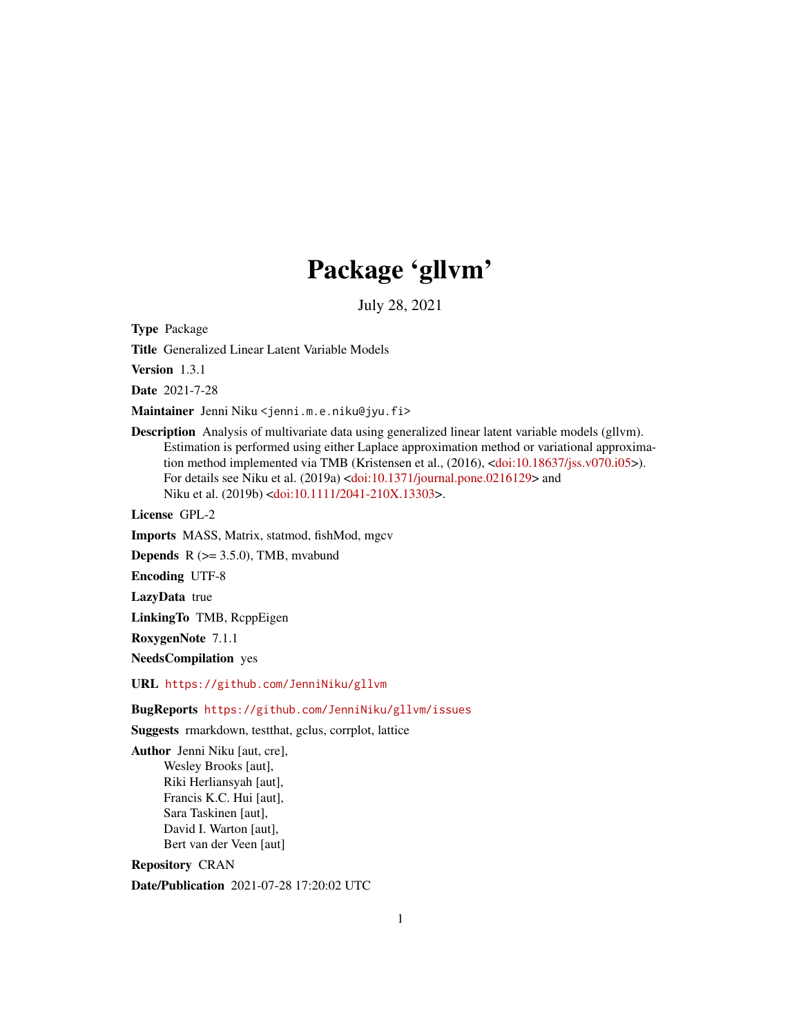# Package 'gllvm'

July 28, 2021

<span id="page-0-0"></span>Type Package

Title Generalized Linear Latent Variable Models

Version 1.3.1

Date 2021-7-28

Maintainer Jenni Niku <jenni.m.e.niku@jyu.fi>

Description Analysis of multivariate data using generalized linear latent variable models (gllvm). Estimation is performed using either Laplace approximation method or variational approximation method implemented via TMB (Kristensen et al., (2016), [<doi:10.18637/jss.v070.i05>](https://doi.org/10.18637/jss.v070.i05)). For details see Niku et al. (2019a) [<doi:10.1371/journal.pone.0216129>](https://doi.org/10.1371/journal.pone.0216129) and Niku et al. (2019b) [<doi:10.1111/2041-210X.13303>](https://doi.org/10.1111/2041-210X.13303).

License GPL-2

Imports MASS, Matrix, statmod, fishMod, mgcv

**Depends**  $R$  ( $>= 3.5.0$ ), TMB, mvabund

Encoding UTF-8

LazyData true

LinkingTo TMB, RcppEigen

RoxygenNote 7.1.1

NeedsCompilation yes

URL <https://github.com/JenniNiku/gllvm>

BugReports <https://github.com/JenniNiku/gllvm/issues>

Suggests rmarkdown, testthat, gclus, corrplot, lattice

Author Jenni Niku [aut, cre], Wesley Brooks [aut], Riki Herliansyah [aut], Francis K.C. Hui [aut], Sara Taskinen [aut], David I. Warton [aut], Bert van der Veen [aut]

Repository CRAN

Date/Publication 2021-07-28 17:20:02 UTC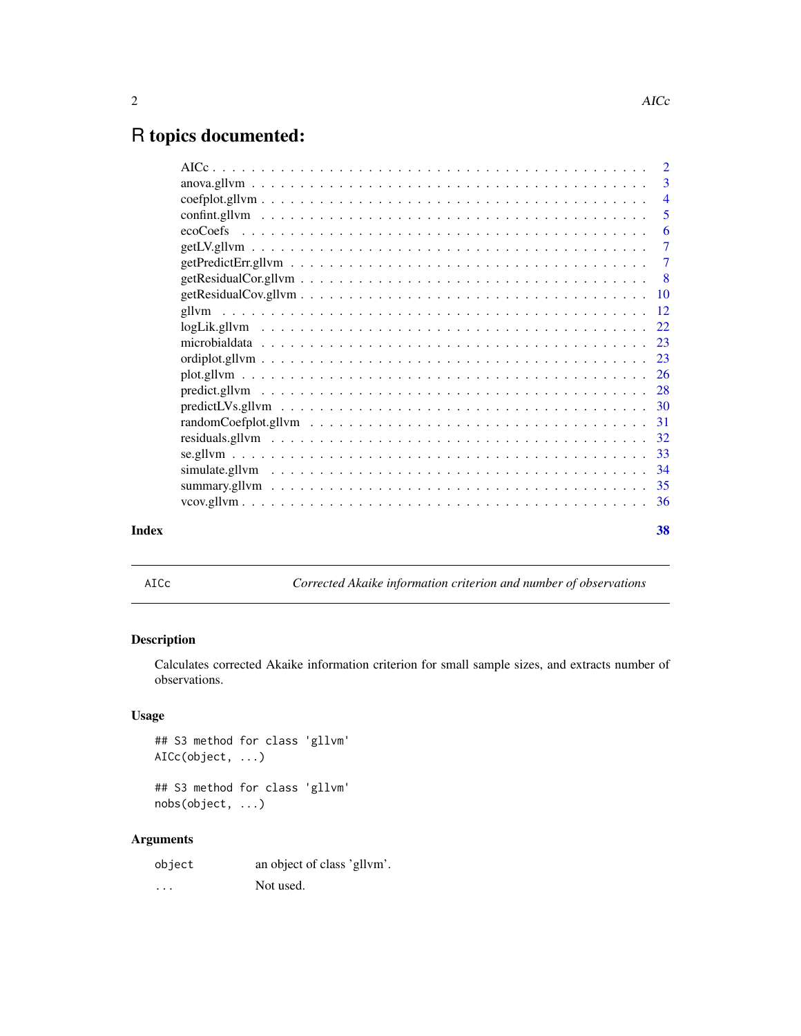# <span id="page-1-0"></span>R topics documented:

|       | - 5 |  |
|-------|-----|--|
|       |     |  |
|       |     |  |
|       |     |  |
|       |     |  |
|       |     |  |
|       |     |  |
|       |     |  |
|       |     |  |
|       |     |  |
|       |     |  |
|       |     |  |
|       |     |  |
|       |     |  |
|       |     |  |
|       |     |  |
|       |     |  |
|       |     |  |
|       |     |  |
| Index | 38  |  |
|       |     |  |

AICc *Corrected Akaike information criterion and number of observations*

# Description

Calculates corrected Akaike information criterion for small sample sizes, and extracts number of observations.

# Usage

## S3 method for class 'gllvm' AICc(object, ...)

## S3 method for class 'gllvm' nobs(object, ...)

# Arguments

| object | an object of class 'gllvm'. |
|--------|-----------------------------|
| .      | Not used.                   |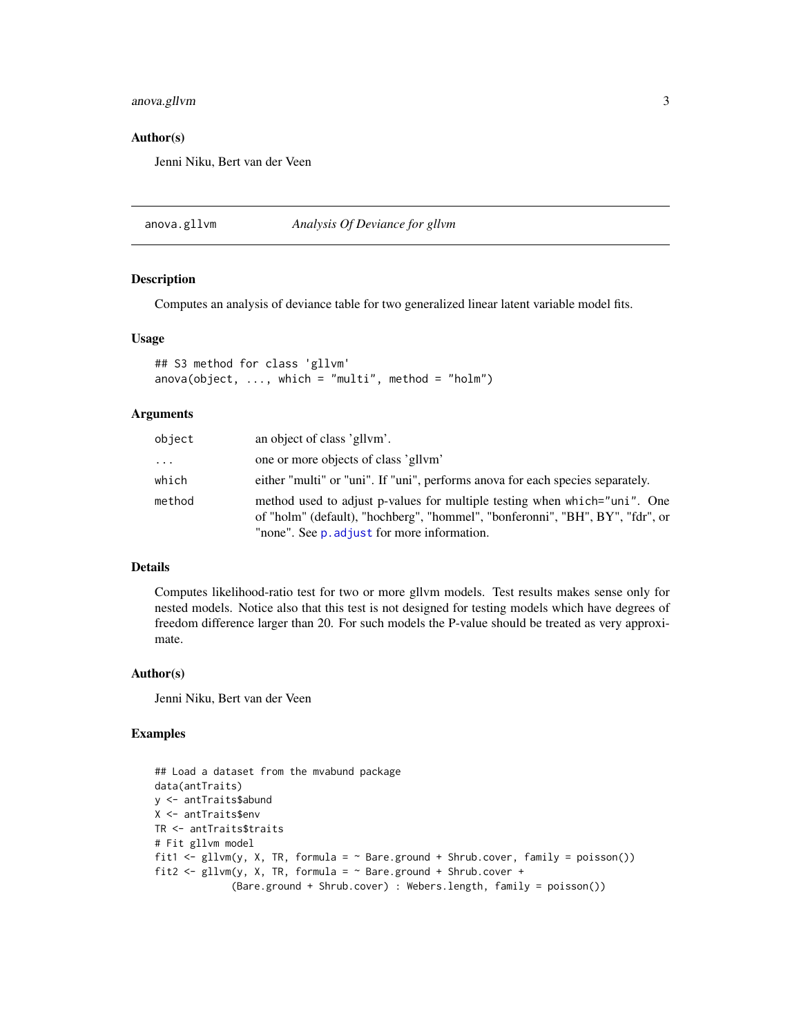# <span id="page-2-0"></span>anova.gllvm 3

#### Author(s)

Jenni Niku, Bert van der Veen

anova.gllvm *Analysis Of Deviance for gllvm*

#### Description

Computes an analysis of deviance table for two generalized linear latent variable model fits.

## Usage

```
## S3 method for class 'gllvm'
anova(object, ..., which = "multi", method = "holm")
```
#### **Arguments**

| object | an object of class 'gllym'.                                                                                                                                                                               |
|--------|-----------------------------------------------------------------------------------------------------------------------------------------------------------------------------------------------------------|
| .      | one or more objects of class 'gllym'                                                                                                                                                                      |
| which  | either "multi" or "uni". If "uni", performs anova for each species separately.                                                                                                                            |
| method | method used to adjust p-values for multiple testing when which="uni". One<br>of "holm" (default), "hochberg", "hommel", "bonferonni", "BH", BY", "fdr", or<br>"none". See p. adjust for more information. |

# Details

Computes likelihood-ratio test for two or more gllvm models. Test results makes sense only for nested models. Notice also that this test is not designed for testing models which have degrees of freedom difference larger than 20. For such models the P-value should be treated as very approximate.

#### Author(s)

Jenni Niku, Bert van der Veen

# Examples

```
## Load a dataset from the mvabund package
data(antTraits)
y <- antTraits$abund
X <- antTraits$env
TR <- antTraits$traits
# Fit gllvm model
fit1 <- gllvm(y, X, TR, formula = \sim Bare.ground + Shrub.cover, family = poisson())
fit2 <- gllvm(y, X, TR, formula = ~Bare.ground + Shrub.cover +(Bare.ground + Shrub.cover) : Webers.length, family = poisson())
```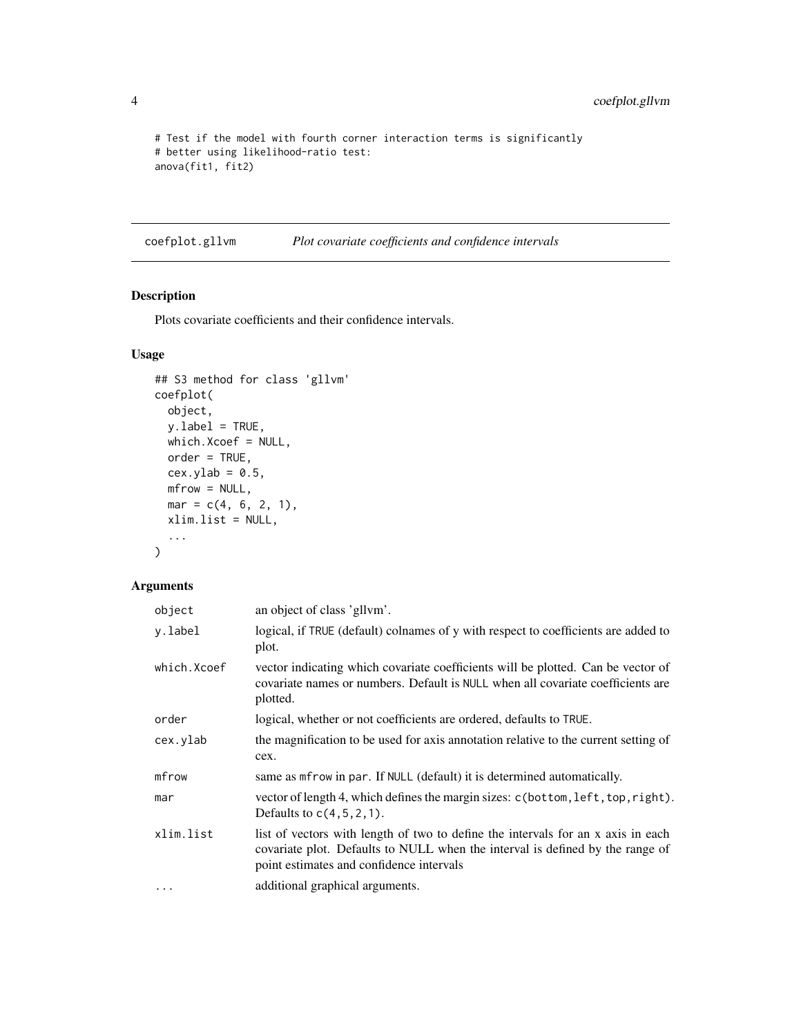```
# Test if the model with fourth corner interaction terms is significantly
# better using likelihood-ratio test:
anova(fit1, fit2)
```
<span id="page-3-1"></span>coefplot.gllvm *Plot covariate coefficients and confidence intervals*

# Description

Plots covariate coefficients and their confidence intervals.

# Usage

```
## S3 method for class 'gllvm'
coefplot(
 object,
 y.label = TRUE,
 which.Xcoef = NULL,
 order = TRUE,
 cex.ylab = 0.5,
 mfrow = NULL,
 mar = c(4, 6, 2, 1),
 xlim.list = NULL,
  ...
\mathcal{L}
```
# Arguments

| object      | an object of class 'gllvm'.                                                                                                                                                                                   |
|-------------|---------------------------------------------------------------------------------------------------------------------------------------------------------------------------------------------------------------|
| v.label     | logical, if TRUE (default) colnames of y with respect to coefficients are added to<br>plot.                                                                                                                   |
| which.Xcoef | vector indicating which covariate coefficients will be plotted. Can be vector of<br>covariate names or numbers. Default is NULL when all covariate coefficients are<br>plotted.                               |
| order       | logical, whether or not coefficients are ordered, defaults to TRUE.                                                                                                                                           |
| cex.ylab    | the magnification to be used for axis annotation relative to the current setting of<br>cex.                                                                                                                   |
| mfrow       | same as met row in par. If NULL (default) it is determined automatically.                                                                                                                                     |
| mar         | vector of length 4, which defines the margin sizes: c(bottom, left, top, right).<br>Defaults to $c(4, 5, 2, 1)$ .                                                                                             |
| xlim.list   | list of vectors with length of two to define the intervals for an x axis in each<br>covariate plot. Defaults to NULL when the interval is defined by the range of<br>point estimates and confidence intervals |
| $\cdots$    | additional graphical arguments.                                                                                                                                                                               |

<span id="page-3-0"></span>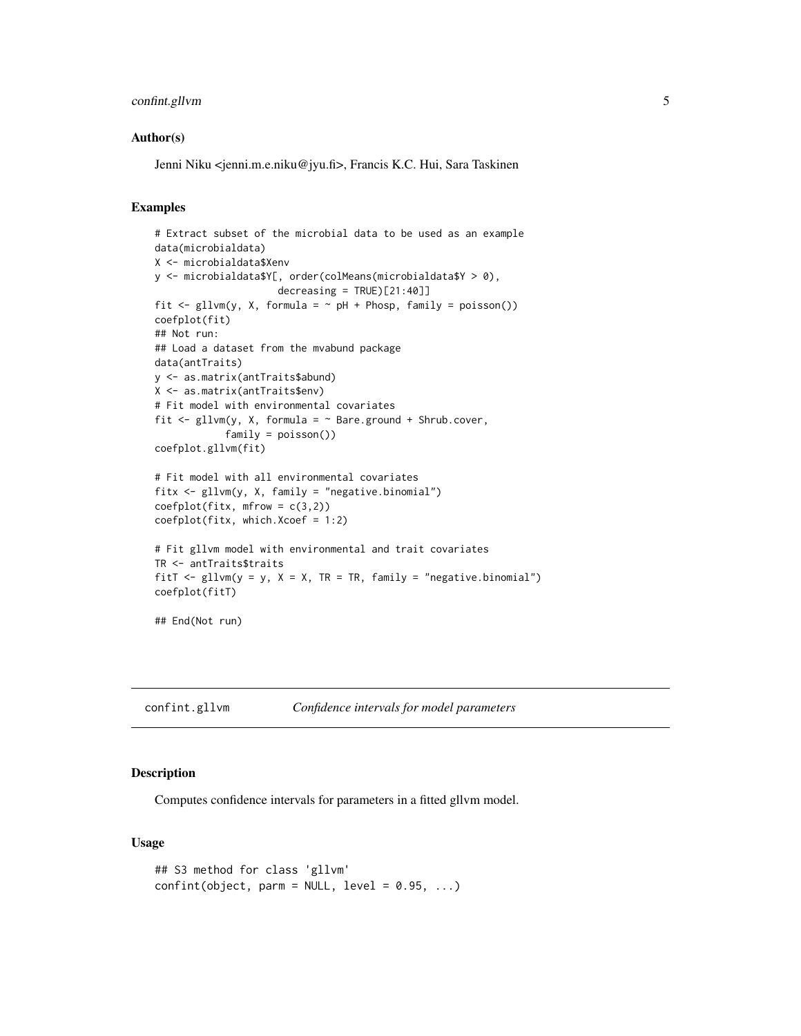# <span id="page-4-0"></span>confint.gllvm 5

#### Author(s)

Jenni Niku <jenni.m.e.niku@jyu.fi>, Francis K.C. Hui, Sara Taskinen

## Examples

```
# Extract subset of the microbial data to be used as an example
data(microbialdata)
X <- microbialdata$Xenv
y <- microbialdata$Y[, order(colMeans(microbialdata$Y > 0),
                     decreasing = TRUE)[21:40]]fit \le gllvm(y, X, formula = \sim pH + Phosp, family = poisson())
coefplot(fit)
## Not run:
## Load a dataset from the mvabund package
data(antTraits)
y <- as.matrix(antTraits$abund)
X <- as.matrix(antTraits$env)
# Fit model with environmental covariates
fit \leq gllvm(y, X, formula = \sim Bare.ground + Shrub.cover,
            family = poisson())
coefplot.gllvm(fit)
# Fit model with all environmental covariates
fitx <- gllvm(y, X, family = "negative.binomial")
coefflot(fitx, mfrow = c(3,2))coefplot(fitx, which.Xcoef = 1:2)
# Fit gllvm model with environmental and trait covariates
TR <- antTraits$traits
fitT \le gllvm(y = y, X = X, TR = TR, family = "negative.binomial")
coefplot(fitT)
## End(Not run)
```
<span id="page-4-1"></span>confint.gllvm *Confidence intervals for model parameters*

#### Description

Computes confidence intervals for parameters in a fitted gllvm model.

#### Usage

```
## S3 method for class 'gllvm'
confint(object, parm = NULL, level = 0.95, ...)
```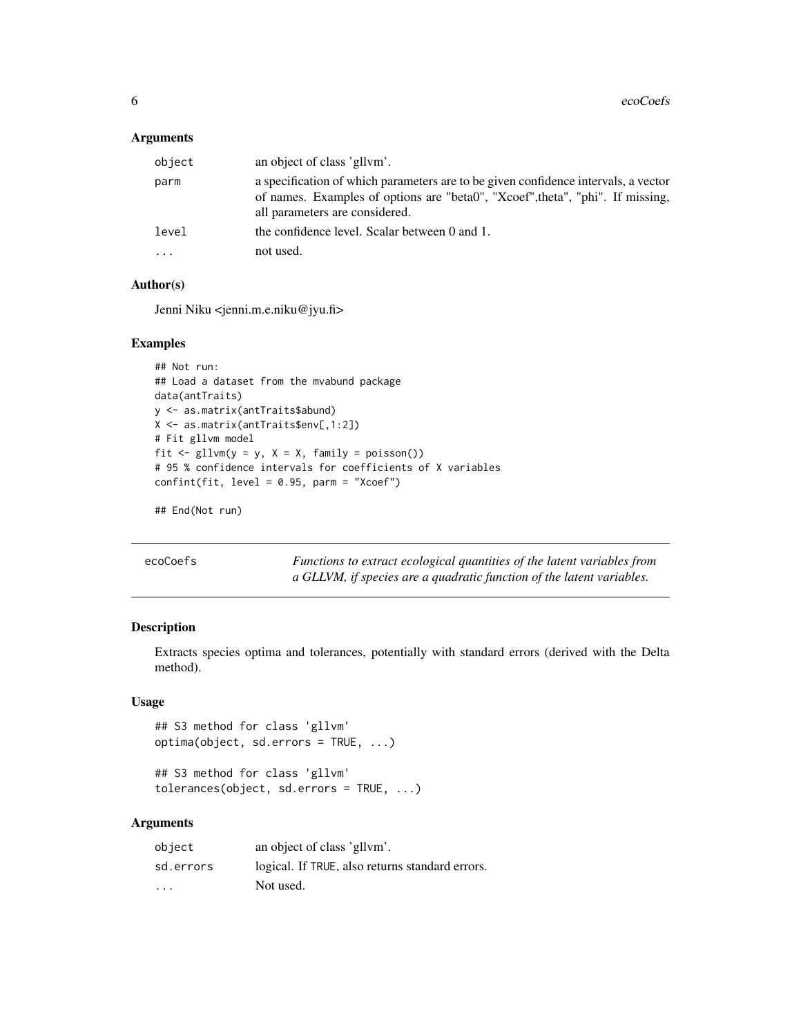#### <span id="page-5-0"></span>Arguments

| object | an object of class 'gllym'.                                                                                                                                                                            |
|--------|--------------------------------------------------------------------------------------------------------------------------------------------------------------------------------------------------------|
| parm   | a specification of which parameters are to be given confidence intervals, a vector<br>of names. Examples of options are "beta0", "Xcoef", theta", "phi". If missing,<br>all parameters are considered. |
| level  | the confidence level. Scalar between 0 and 1.                                                                                                                                                          |
| .      | not used.                                                                                                                                                                                              |

# Author(s)

Jenni Niku <jenni.m.e.niku@jyu.fi>

# Examples

```
## Not run:
## Load a dataset from the mvabund package
data(antTraits)
y <- as.matrix(antTraits$abund)
X <- as.matrix(antTraits$env[,1:2])
# Fit gllvm model
fit \le gllvm(y = y, X = X, family = poisson())
# 95 % confidence intervals for coefficients of X variables
confint(fit, level = 0.95, parm = "Xcoef")
```

```
## End(Not run)
```

| ecoCoefs |
|----------|
|----------|

Functions to extract ecological quantities of the latent variables from *a GLLVM, if species are a quadratic function of the latent variables.*

# Description

Extracts species optima and tolerances, potentially with standard errors (derived with the Delta method).

# Usage

## S3 method for class 'gllvm' optima(object, sd.errors = TRUE, ...)

```
## S3 method for class 'gllvm'
tolerances(object, sd.errors = TRUE, ...)
```
# Arguments

| object                  | an object of class 'gllym'.                     |
|-------------------------|-------------------------------------------------|
| sd.errors               | logical. If TRUE, also returns standard errors. |
| $\cdot$ $\cdot$ $\cdot$ | Not used.                                       |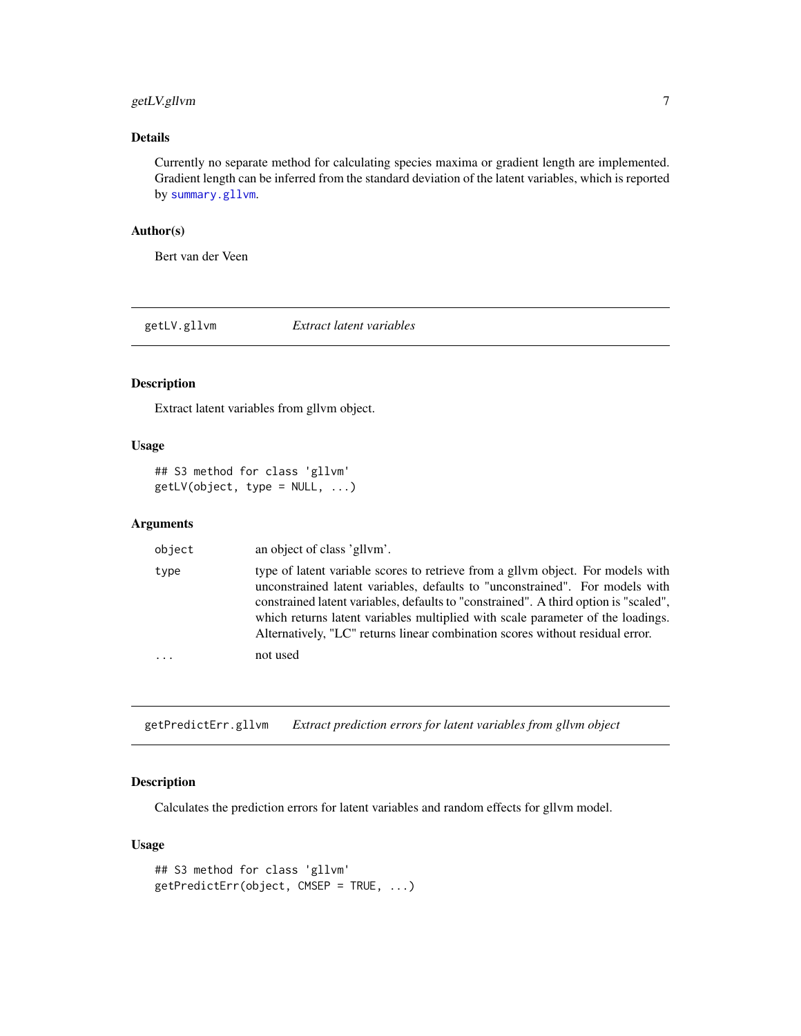# <span id="page-6-0"></span>getLV.gllvm 7

# Details

Currently no separate method for calculating species maxima or gradient length are implemented. Gradient length can be inferred from the standard deviation of the latent variables, which is reported by [summary.gllvm](#page-34-1).

# Author(s)

Bert van der Veen

getLV.gllvm *Extract latent variables*

# Description

Extract latent variables from gllvm object.

# Usage

## S3 method for class 'gllvm'  $getLV(object, type = NULL, ...)$ 

#### Arguments

| object                  | an object of class 'gllym'.                                                                                                                                                                                                                                                                                                                                                                                                 |
|-------------------------|-----------------------------------------------------------------------------------------------------------------------------------------------------------------------------------------------------------------------------------------------------------------------------------------------------------------------------------------------------------------------------------------------------------------------------|
| type                    | type of latent variable scores to retrieve from a gllym object. For models with<br>unconstrained latent variables, defaults to "unconstrained". For models with<br>constrained latent variables, defaults to "constrained". A third option is "scaled",<br>which returns latent variables multiplied with scale parameter of the loadings.<br>Alternatively, "LC" returns linear combination scores without residual error. |
| $\cdot$ $\cdot$ $\cdot$ | not used                                                                                                                                                                                                                                                                                                                                                                                                                    |

getPredictErr.gllvm *Extract prediction errors for latent variables from gllvm object*

# Description

Calculates the prediction errors for latent variables and random effects for gllvm model.

# Usage

```
## S3 method for class 'gllvm'
getPredictErr(object, CMSEP = TRUE, ...)
```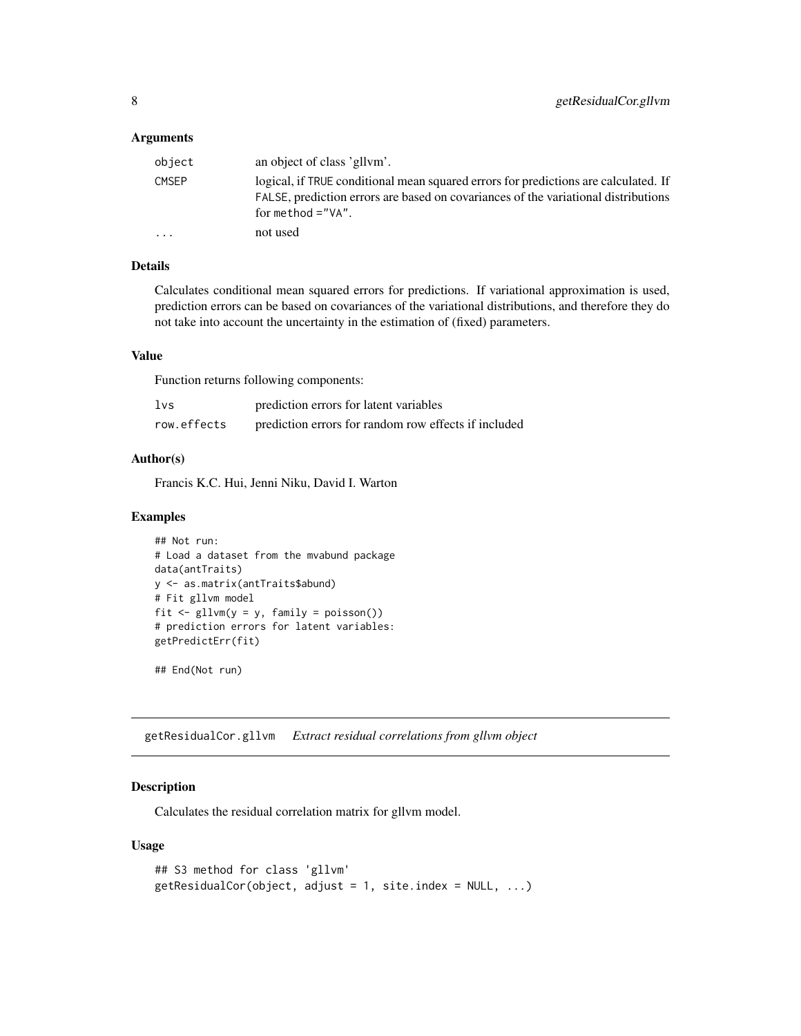#### <span id="page-7-0"></span>**Arguments**

| object       | an object of class 'gllym'.                                                                                                                                                                       |
|--------------|---------------------------------------------------------------------------------------------------------------------------------------------------------------------------------------------------|
| <b>CMSEP</b> | logical, if TRUE conditional mean squared errors for predictions are calculated. If<br>FALSE, prediction errors are based on covariances of the variational distributions<br>for method $=$ "VA". |
|              | not used                                                                                                                                                                                          |

# Details

Calculates conditional mean squared errors for predictions. If variational approximation is used, prediction errors can be based on covariances of the variational distributions, and therefore they do not take into account the uncertainty in the estimation of (fixed) parameters.

#### Value

Function returns following components:

| 1vs         | prediction errors for latent variables               |
|-------------|------------------------------------------------------|
| row.effects | prediction errors for random row effects if included |

#### Author(s)

Francis K.C. Hui, Jenni Niku, David I. Warton

#### Examples

```
## Not run:
# Load a dataset from the mvabund package
data(antTraits)
y <- as.matrix(antTraits$abund)
# Fit gllvm model
fit \le gllvm(y = y, family = poisson())
# prediction errors for latent variables:
getPredictErr(fit)
```
## End(Not run)

getResidualCor.gllvm *Extract residual correlations from gllvm object*

#### Description

Calculates the residual correlation matrix for gllvm model.

#### Usage

```
## S3 method for class 'gllvm'
getResidualCor(object, adjust = 1, site.index = NULL, ...)
```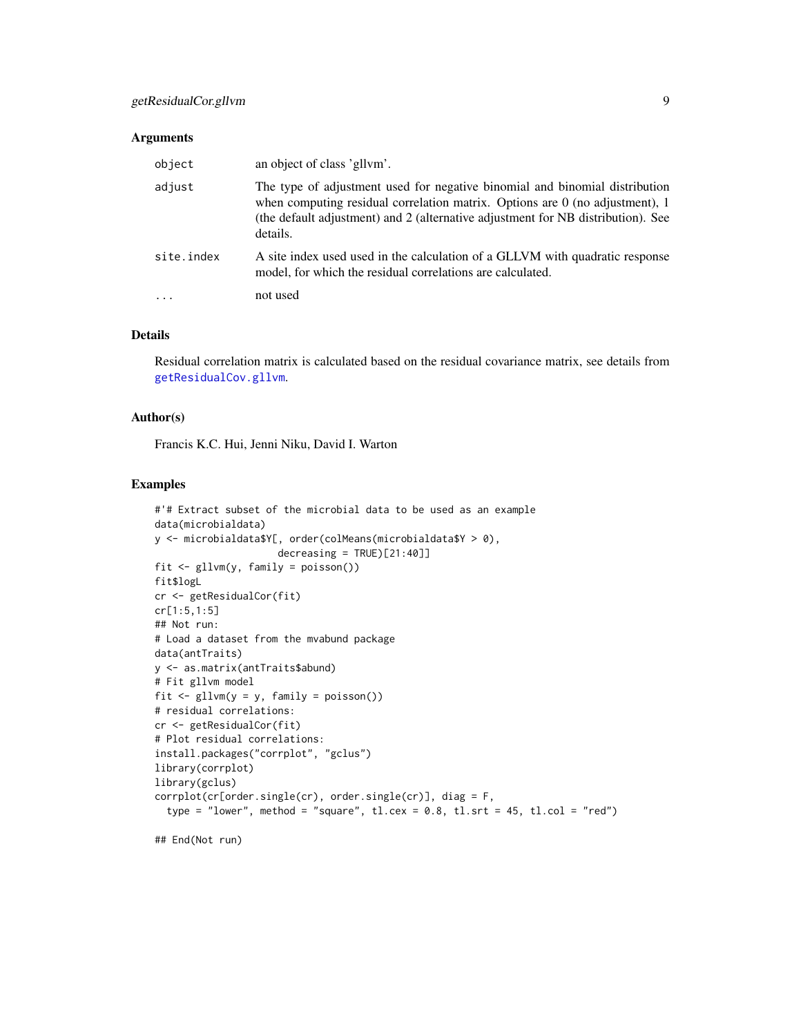## <span id="page-8-0"></span>Arguments

| object     | an object of class 'gllym'.                                                                                                                                                                                                                                   |
|------------|---------------------------------------------------------------------------------------------------------------------------------------------------------------------------------------------------------------------------------------------------------------|
| adjust     | The type of adjustment used for negative binomial and binomial distribution<br>when computing residual correlation matrix. Options are $0$ (no adjustment), 1<br>(the default adjustment) and 2 (alternative adjustment for NB distribution). See<br>details. |
| site.index | A site index used used in the calculation of a GLLVM with quadratic response<br>model, for which the residual correlations are calculated.                                                                                                                    |
|            | not used                                                                                                                                                                                                                                                      |

#### Details

Residual correlation matrix is calculated based on the residual covariance matrix, see details from [getResidualCov.gllvm](#page-9-1).

# Author(s)

Francis K.C. Hui, Jenni Niku, David I. Warton

#### Examples

```
#'# Extract subset of the microbial data to be used as an example
data(microbialdata)
y <- microbialdata$Y[, order(colMeans(microbialdata$Y > 0),
                     decreasing = TRUE)[21:40]]fit <- gllvm(y, family = poisson())
fit$logL
cr <- getResidualCor(fit)
cr[1:5,1:5]
## Not run:
# Load a dataset from the mvabund package
data(antTraits)
y <- as.matrix(antTraits$abund)
# Fit gllvm model
fit \le gllvm(y = y, family = poisson())
# residual correlations:
cr <- getResidualCor(fit)
# Plot residual correlations:
install.packages("corrplot", "gclus")
library(corrplot)
library(gclus)
corrplot(cr[order.single(cr), order.single(cr)], diag = F,
  type = "lower", method = "square", tl.cex = 0.8, tl.srt = 45, tl.col = "red")
## End(Not run)
```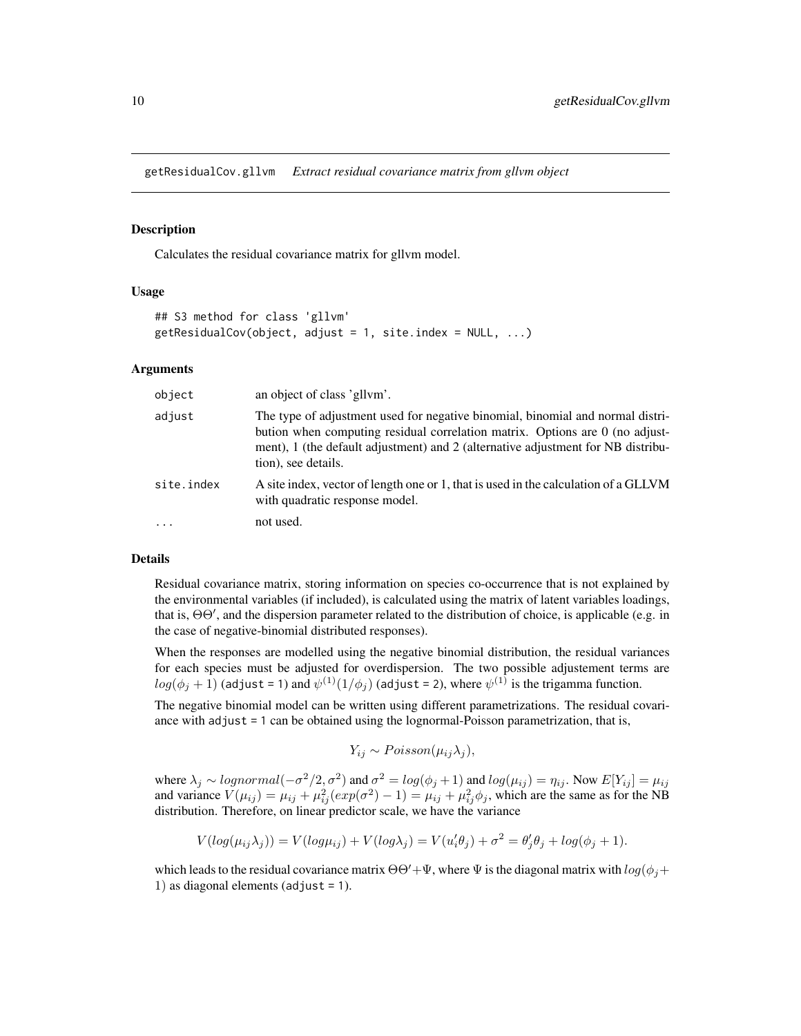<span id="page-9-1"></span><span id="page-9-0"></span>getResidualCov.gllvm *Extract residual covariance matrix from gllvm object*

### **Description**

Calculates the residual covariance matrix for gllvm model.

#### Usage

```
## S3 method for class 'gllvm'
getResidualCov(object, adjust = 1, site.index = NULL, ...)
```
#### Arguments

| object     | an object of class 'gllvm'.                                                                                                                                                                                                                                               |
|------------|---------------------------------------------------------------------------------------------------------------------------------------------------------------------------------------------------------------------------------------------------------------------------|
| adjust     | The type of adjustment used for negative binomial, binomial and normal distri-<br>bution when computing residual correlation matrix. Options are 0 (no adjust-<br>ment), 1 (the default adjustment) and 2 (alternative adjustment for NB distribu-<br>tion), see details. |
| site.index | A site index, vector of length one or 1, that is used in the calculation of a GLLVM<br>with quadratic response model.                                                                                                                                                     |
| $\cdot$    | not used.                                                                                                                                                                                                                                                                 |

#### Details

Residual covariance matrix, storing information on species co-occurrence that is not explained by the environmental variables (if included), is calculated using the matrix of latent variables loadings, that is,  $\Theta\Theta'$ , and the dispersion parameter related to the distribution of choice, is applicable (e.g. in the case of negative-binomial distributed responses).

When the responses are modelled using the negative binomial distribution, the residual variances for each species must be adjusted for overdispersion. The two possible adjustement terms are  $log(\phi_j+1)$  (adjust = 1) and  $\psi^{(1)}(1/\phi_j)$  (adjust = 2), where  $\psi^{(1)}$  is the trigamma function.

The negative binomial model can be written using different parametrizations. The residual covariance with adjust = 1 can be obtained using the lognormal-Poisson parametrization, that is,

$$
Y_{ij} \sim Poisson(\mu_{ij}\lambda_j),
$$

where  $\lambda_j \sim lognormal(-\sigma^2/2, \sigma^2)$  and  $\sigma^2 = log(\phi_j + 1)$  and  $log(\mu_{ij}) = \eta_{ij}$ . Now  $E[Y_{ij}] = \mu_{ij}$ and variance  $V(\mu_{ij}) = \mu_{ij} + \mu_{ij}^2(exp(\sigma^2) - 1) = \mu_{ij} + \mu_{ij}^2\phi_j$ , which are the same as for the NB distribution. Therefore, on linear predictor scale, we have the variance

$$
V(log(\mu_{ij}\lambda_j)) = V(log\mu_{ij}) + V(log\lambda_j) = V(u'_i\theta_j) + \sigma^2 = \theta'_j\theta_j + log(\phi_j + 1).
$$

which leads to the residual covariance matrix  $\Theta' + \Psi$ , where  $\Psi$  is the diagonal matrix with  $log(\phi_j + \Psi)$ 1) as diagonal elements (adjust = 1).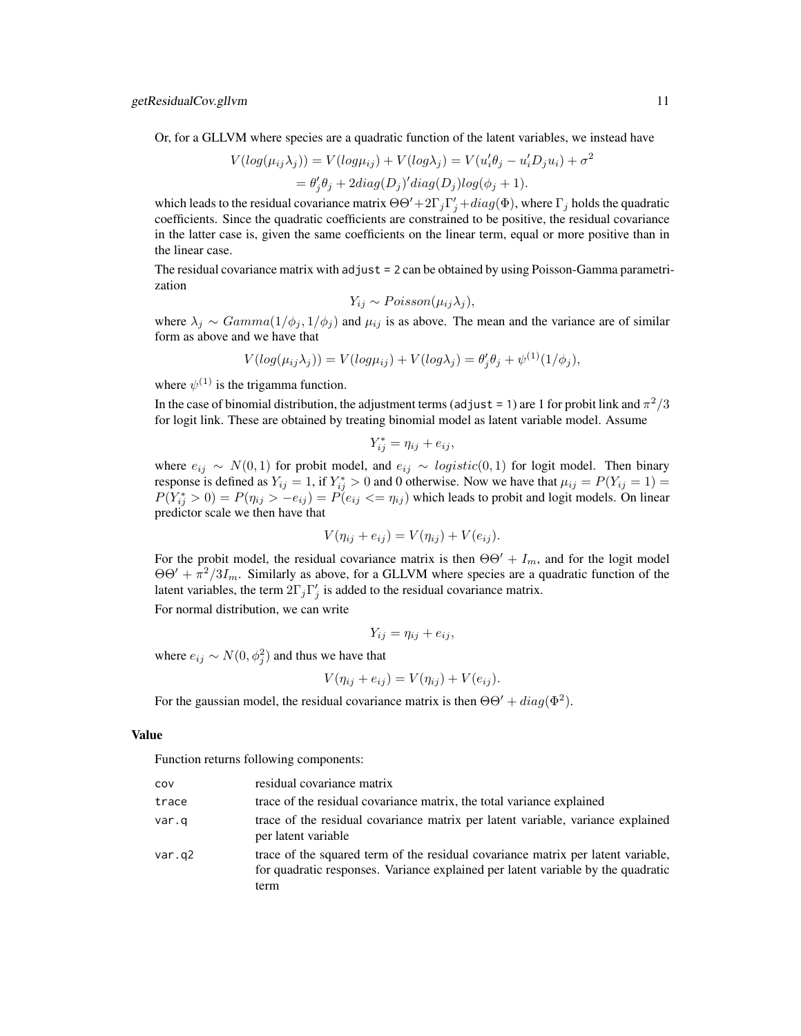Or, for a GLLVM where species are a quadratic function of the latent variables, we instead have

$$
V(log(\mu_{ij}\lambda_j)) = V(log\mu_{ij}) + V(log\lambda_j) = V(u'_i\theta_j - u'_iD_ju_i) + \sigma^2
$$
  
=  $\theta'_j\theta_j + 2diag(D_j)'diag(D_j)log(\phi_j + 1)$ .

which leads to the residual covariance matrix  $\Theta \Theta' + 2\Gamma_j \Gamma_j' + diag(\Phi)$ , where  $\Gamma_j$  holds the quadratic coefficients. Since the quadratic coefficients are constrained to be positive, the residual covariance in the latter case is, given the same coefficients on the linear term, equal or more positive than in the linear case.

The residual covariance matrix with adjust = 2 can be obtained by using Poisson-Gamma parametrization

$$
Y_{ij} \sim Poisson(\mu_{ij}\lambda_j),
$$

where  $\lambda_j \sim Gamma(1/\phi_j, 1/\phi_j)$  and  $\mu_{ij}$  is as above. The mean and the variance are of similar form as above and we have that

$$
V(log(\mu_{ij}\lambda_j)) = V(log\mu_{ij}) + V(log\lambda_j) = \theta'_j\theta_j + \psi^{(1)}(1/\phi_j),
$$

where  $\psi^{(1)}$  is the trigamma function.

In the case of binomial distribution, the adjustment terms (adjust = 1) are 1 for probit link and  $\pi^2/3$ for logit link. These are obtained by treating binomial model as latent variable model. Assume

$$
Y_{ij}^* = \eta_{ij} + e_{ij},
$$

where  $e_{ij} \sim N(0, 1)$  for probit model, and  $e_{ij} \sim logistic(0, 1)$  for logit model. Then binary response is defined as  $Y_{ij} = 1$ , if  $Y_{ij}^* > 0$  and 0 otherwise. Now we have that  $\mu_{ij} = P(Y_{ij} = 1)$  $P(Y_{ij}^* > 0) = P(\eta_{ij} > -e_{ij}) = P(e_{ij} < = \eta_{ij})$  which leads to probit and logit models. On linear predictor scale we then have that

$$
V(\eta_{ij} + e_{ij}) = V(\eta_{ij}) + V(e_{ij}).
$$

For the probit model, the residual covariance matrix is then  $\Theta\Theta' + I_m$ , and for the logit model  $\Theta \Theta' + \pi^2/3I_m$ . Similarly as above, for a GLLVM where species are a quadratic function of the latent variables, the term  $2\Gamma_j \Gamma'_j$  is added to the residual covariance matrix.

For normal distribution, we can write

$$
Y_{ij} = \eta_{ij} + e_{ij},
$$

where  $e_{ij} \sim N(0, \phi_j^2)$  and thus we have that

$$
V(\eta_{ij} + e_{ij}) = V(\eta_{ij}) + V(e_{ij}).
$$

For the gaussian model, the residual covariance matrix is then  $\Theta\Theta' + diag(\Phi^2)$ .

#### Value

Function returns following components:

| cov    | residual covariance matrix                                                                                                                                                   |
|--------|------------------------------------------------------------------------------------------------------------------------------------------------------------------------------|
| trace  | trace of the residual covariance matrix, the total variance explained                                                                                                        |
| var.q  | trace of the residual covariance matrix per latent variable, variance explained<br>per latent variable                                                                       |
| var.q2 | trace of the squared term of the residual covariance matrix per latent variable,<br>for quadratic responses. Variance explained per latent variable by the quadratic<br>term |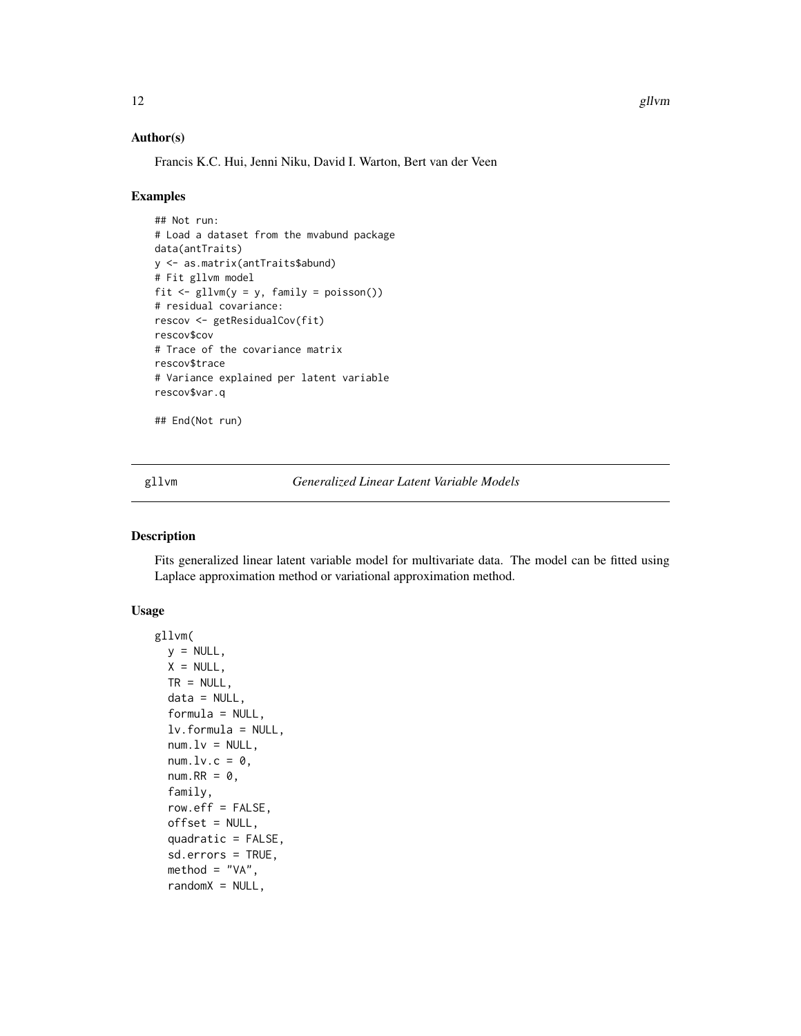12 gllvm

#### Author(s)

Francis K.C. Hui, Jenni Niku, David I. Warton, Bert van der Veen

#### Examples

```
## Not run:
# Load a dataset from the mvabund package
data(antTraits)
y <- as.matrix(antTraits$abund)
# Fit gllvm model
fit \leftarrow gllvm(y = y, family = poisson())
# residual covariance:
rescov <- getResidualCov(fit)
rescov$cov
# Trace of the covariance matrix
rescov$trace
# Variance explained per latent variable
rescov$var.q
```
## End(Not run)

<span id="page-11-1"></span>gllvm *Generalized Linear Latent Variable Models*

#### Description

Fits generalized linear latent variable model for multivariate data. The model can be fitted using Laplace approximation method or variational approximation method.

#### Usage

```
gllvm(
 y = NULL,X = NULL,TR = NULL,data = NULL,
  formula = NULL,
  lv.formula = NULL,
  num.lv = NULL,num.lv.c = 0,
  num.RR = 0,
  family,
  row.eff = FALSE,
  offset = NULL,
  quadratic = FALSE,
  sd.errors = TRUE,
  \mathsf{method} = "VA",randomX = NULL,
```
<span id="page-11-0"></span>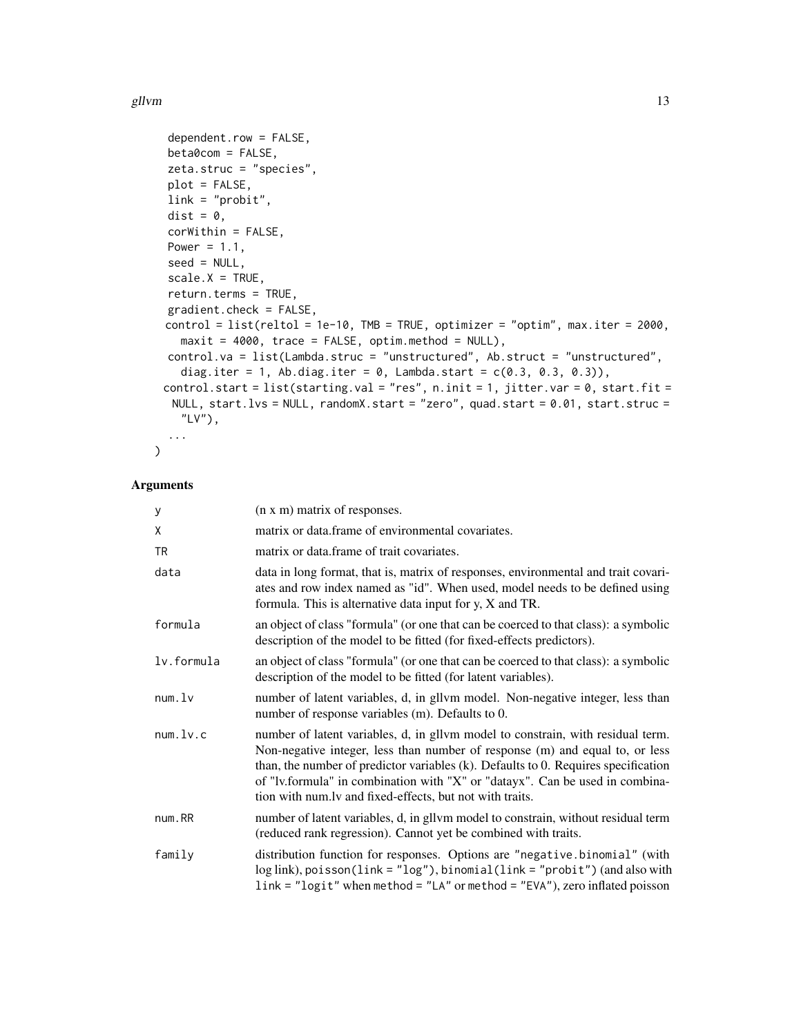#### gllvm and the state of the state of the state of the state of the state of the state of the state of the state of the state of the state of the state of the state of the state of the state of the state of the state of the

```
dependent.row = FALSE,
beta0com = FALSE,
zeta.struc = "species",
plot = FALSE,
link = "probit",
dist = 0,
corWithin = FALSE,
Power = 1.1,
seed = NULL,
scale.X = TRUE,return.terms = TRUE,
gradient.check = FALSE,
control = list(reltol = 1e-10, TMB = TRUE, optimizer = "optim", max.iter = 2000,
  maxit = 4000, trace = FALSE, optim.method = NULL,
control.va = list(Lambda.struc = "unstructured", Ab.struct = "unstructured",
  diag.iter = 1, Ab.diag.iter = 0, Lambda.start = c(0.3, 0.3, 0.3)),
control.start = list(starting.val = "res", n.init = 1, jitter.var = 0, start.fit =
 NULL, start.lvs = NULL, randomX.start = "zero", quad.start = 0.01, start.struc =
  "LV"),
...
```
#### Arguments

 $\mathcal{L}$ 

| У          | (n x m) matrix of responses.                                                                                                                                                                                                                                                                                                                                                                         |
|------------|------------------------------------------------------------------------------------------------------------------------------------------------------------------------------------------------------------------------------------------------------------------------------------------------------------------------------------------------------------------------------------------------------|
| Χ          | matrix or data frame of environmental covariates.                                                                                                                                                                                                                                                                                                                                                    |
| TR         | matrix or data.frame of trait covariates.                                                                                                                                                                                                                                                                                                                                                            |
| data       | data in long format, that is, matrix of responses, environmental and trait covari-<br>ates and row index named as "id". When used, model needs to be defined using<br>formula. This is alternative data input for $y$ , $X$ and TR.                                                                                                                                                                  |
| formula    | an object of class "formula" (or one that can be coerced to that class): a symbolic<br>description of the model to be fitted (for fixed-effects predictors).                                                                                                                                                                                                                                         |
| lv.formula | an object of class "formula" (or one that can be coerced to that class): a symbolic<br>description of the model to be fitted (for latent variables).                                                                                                                                                                                                                                                 |
| num.lv     | number of latent variables, d, in gllvm model. Non-negative integer, less than<br>number of response variables (m). Defaults to 0.                                                                                                                                                                                                                                                                   |
| num.lv.c   | number of latent variables, d, in gllvm model to constrain, with residual term.<br>Non-negative integer, less than number of response (m) and equal to, or less<br>than, the number of predictor variables $(k)$ . Defaults to 0. Requires specification<br>of "lv.formula" in combination with "X" or "datayx". Can be used in combina-<br>tion with num.lv and fixed-effects, but not with traits. |
| num.RR     | number of latent variables, d, in gllvm model to constrain, without residual term<br>(reduced rank regression). Cannot yet be combined with traits.                                                                                                                                                                                                                                                  |
| family     | distribution function for responses. Options are "negative.binomial" (with<br>log link), poisson(link = "log"), binomial(link = "probit") (and also with<br>link = "logit" when method = "LA" or method = "EVA"), zero inflated poisson                                                                                                                                                              |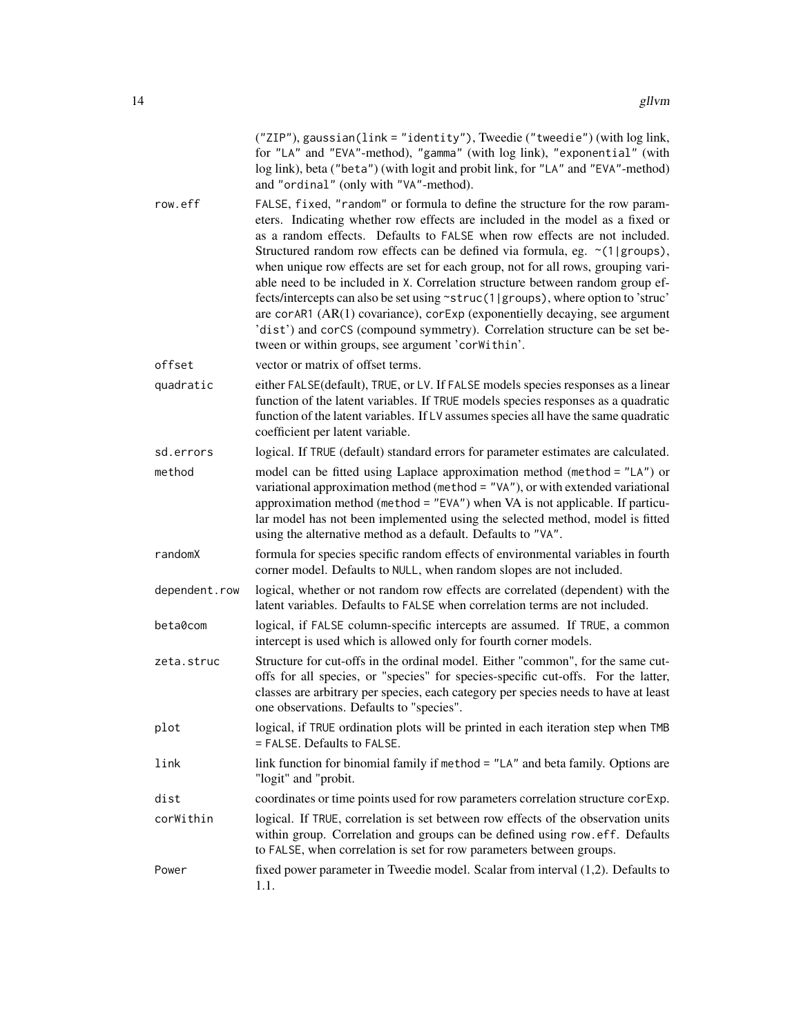("ZIP"), gaussian(link = "identity"), Tweedie ("tweedie") (with log link, for "LA" and "EVA"-method), "gamma" (with log link), "exponential" (with log link), beta ("beta") (with logit and probit link, for "LA" and "EVA"-method) and "ordinal" (only with "VA"-method).

- row.eff FALSE, fixed, "random" or formula to define the structure for the row parameters. Indicating whether row effects are included in the model as a fixed or as a random effects. Defaults to FALSE when row effects are not included. Structured random row effects can be defined via formula, eg.  $\sim$ (1|groups), when unique row effects are set for each group, not for all rows, grouping variable need to be included in X. Correlation structure between random group effects/intercepts can also be set using ~struc(1|groups), where option to 'struc' are corAR1 (AR(1) covariance), corExp (exponentielly decaying, see argument 'dist') and corCS (compound symmetry). Correlation structure can be set between or within groups, see argument 'corWithin'.
- offset vector or matrix of offset terms.
- quadratic either FALSE(default), TRUE, or LV. If FALSE models species responses as a linear function of the latent variables. If TRUE models species responses as a quadratic function of the latent variables. If LV assumes species all have the same quadratic coefficient per latent variable.

sd.errors logical. If TRUE (default) standard errors for parameter estimates are calculated.

- method model can be fitted using Laplace approximation method (method = "LA") or variational approximation method (method = "VA"), or with extended variational approximation method (method = "EVA") when VA is not applicable. If particular model has not been implemented using the selected method, model is fitted using the alternative method as a default. Defaults to "VA".
- randomX formula for species specific random effects of environmental variables in fourth corner model. Defaults to NULL, when random slopes are not included.

dependent.row logical, whether or not random row effects are correlated (dependent) with the latent variables. Defaults to FALSE when correlation terms are not included.

- beta0com logical, if FALSE column-specific intercepts are assumed. If TRUE, a common intercept is used which is allowed only for fourth corner models.
- zeta.struc Structure for cut-offs in the ordinal model. Either "common", for the same cutoffs for all species, or "species" for species-specific cut-offs. For the latter, classes are arbitrary per species, each category per species needs to have at least one observations. Defaults to "species".
- plot logical, if TRUE ordination plots will be printed in each iteration step when TMB = FALSE. Defaults to FALSE.
- link link function for binomial family if method = "LA" and beta family. Options are "logit" and "probit.

dist coordinates or time points used for row parameters correlation structure corExp.

corWithin logical. If TRUE, correlation is set between row effects of the observation units within group. Correlation and groups can be defined using row.eff. Defaults to FALSE, when correlation is set for row parameters between groups.

Power fixed power parameter in Tweedie model. Scalar from interval (1,2). Defaults to 1.1.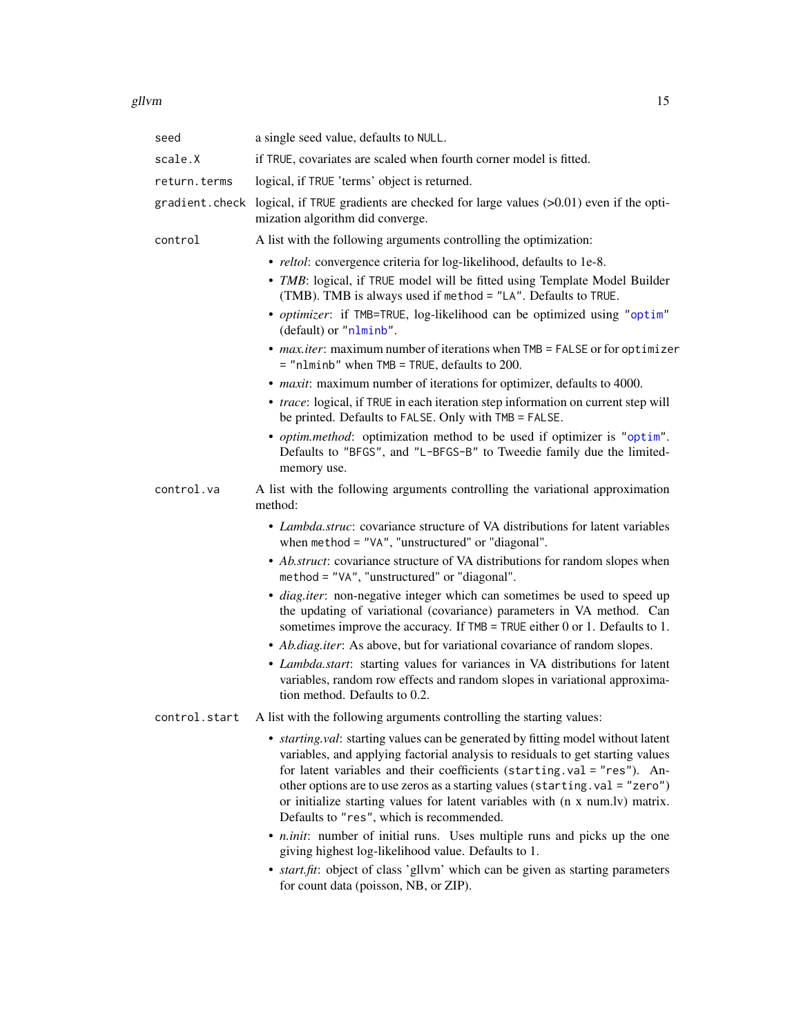<span id="page-14-0"></span>

| seed          | a single seed value, defaults to NULL.                                                                                                                                                                                                                                                                                                                                                                                                                           |
|---------------|------------------------------------------------------------------------------------------------------------------------------------------------------------------------------------------------------------------------------------------------------------------------------------------------------------------------------------------------------------------------------------------------------------------------------------------------------------------|
| scale.X       | if TRUE, covariates are scaled when fourth corner model is fitted.                                                                                                                                                                                                                                                                                                                                                                                               |
| return.terms  | logical, if TRUE 'terms' object is returned.                                                                                                                                                                                                                                                                                                                                                                                                                     |
|               | gradient.check logical, if TRUE gradients are checked for large values $(>0.01)$ even if the opti-<br>mization algorithm did converge.                                                                                                                                                                                                                                                                                                                           |
| control       | A list with the following arguments controlling the optimization:                                                                                                                                                                                                                                                                                                                                                                                                |
|               | · reltol: convergence criteria for log-likelihood, defaults to 1e-8.<br>• TMB: logical, if TRUE model will be fitted using Template Model Builder<br>(TMB). TMB is always used if method = "LA". Defaults to TRUE.                                                                                                                                                                                                                                               |
|               | • optimizer: if TMB=TRUE, log-likelihood can be optimized using "optim"<br>(default) or "nlminb".                                                                                                                                                                                                                                                                                                                                                                |
|               | • max.iter: maximum number of iterations when TMB = FALSE or for optimizer<br>$=$ "nlminb" when TMB = TRUE, defaults to 200.                                                                                                                                                                                                                                                                                                                                     |
|               | • <i>maxit</i> : maximum number of iterations for optimizer, defaults to 4000.                                                                                                                                                                                                                                                                                                                                                                                   |
|               | • trace: logical, if TRUE in each iteration step information on current step will<br>be printed. Defaults to FALSE. Only with TMB = FALSE.                                                                                                                                                                                                                                                                                                                       |
|               | • <i>optim.method</i> : optimization method to be used if optimizer is "optim".<br>Defaults to "BFGS", and "L-BFGS-B" to Tweedie family due the limited-<br>memory use.                                                                                                                                                                                                                                                                                          |
| control.va    | A list with the following arguments controlling the variational approximation<br>method:                                                                                                                                                                                                                                                                                                                                                                         |
|               | • Lambda.struc: covariance structure of VA distributions for latent variables<br>when method = "VA", "unstructured" or "diagonal".                                                                                                                                                                                                                                                                                                                               |
|               | • Ab.struct: covariance structure of VA distributions for random slopes when<br>method = "VA", "unstructured" or "diagonal".                                                                                                                                                                                                                                                                                                                                     |
|               | · diag.iter: non-negative integer which can sometimes be used to speed up<br>the updating of variational (covariance) parameters in VA method. Can<br>sometimes improve the accuracy. If $TMB = TRUE$ either 0 or 1. Defaults to 1.                                                                                                                                                                                                                              |
|               | • Ab.diag.iter: As above, but for variational covariance of random slopes.                                                                                                                                                                                                                                                                                                                                                                                       |
|               | · Lambda.start: starting values for variances in VA distributions for latent<br>variables, random row effects and random slopes in variational approxima-<br>tion method. Defaults to 0.2.                                                                                                                                                                                                                                                                       |
| control.start | A list with the following arguments controlling the starting values:                                                                                                                                                                                                                                                                                                                                                                                             |
|               | • <i>starting.val</i> : starting values can be generated by fitting model without latent<br>variables, and applying factorial analysis to residuals to get starting values<br>for latent variables and their coefficients (starting.val = "res"). An-<br>other options are to use zeros as a starting values (starting.val = "zero")<br>or initialize starting values for latent variables with (n x num.lv) matrix.<br>Defaults to "res", which is recommended. |
|               | • <i>n.init</i> : number of initial runs. Uses multiple runs and picks up the one<br>giving highest log-likelihood value. Defaults to 1.<br>• <i>start fit</i> : object of class 'gllym' which can be given as starting parameters                                                                                                                                                                                                                               |

• *start.fit*: object of class 'gllvm' which can be given as starting parameters for count data (poisson, NB, or ZIP).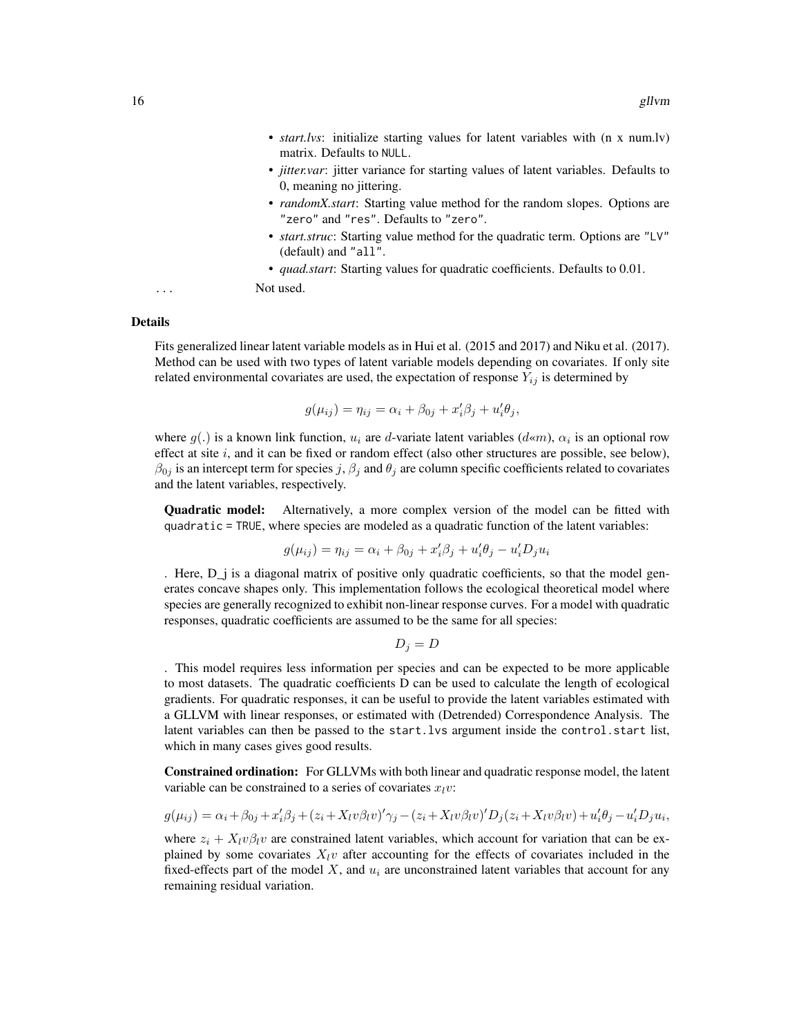- *start.lvs*: initialize starting values for latent variables with (n x num.lv) matrix. Defaults to NULL.
- *jitter.var*: jitter variance for starting values of latent variables. Defaults to 0, meaning no jittering.
- *randomX.start*: Starting value method for the random slopes. Options are "zero" and "res". Defaults to "zero".
- *start.struc*: Starting value method for the quadratic term. Options are "LV" (default) and "all".
- *quad.start*: Starting values for quadratic coefficients. Defaults to 0.01.

... Not used.

#### Details

Fits generalized linear latent variable models as in Hui et al. (2015 and 2017) and Niku et al. (2017). Method can be used with two types of latent variable models depending on covariates. If only site related environmental covariates are used, the expectation of response  $Y_{ij}$  is determined by

$$
g(\mu_{ij}) = \eta_{ij} = \alpha_i + \beta_{0j} + x_i'\beta_j + u_i'\theta_j,
$$

where  $g(.)$  is a known link function,  $u_i$  are d-variate latent variables  $(d \ll m)$ ,  $\alpha_i$  is an optional row effect at site  $i$ , and it can be fixed or random effect (also other structures are possible, see below),  $\beta_{0j}$  is an intercept term for species j,  $\beta_j$  and  $\theta_j$  are column specific coefficients related to covariates and the latent variables, respectively.

Quadratic model: Alternatively, a more complex version of the model can be fitted with quadratic = TRUE, where species are modeled as a quadratic function of the latent variables:

$$
g(\mu_{ij}) = \eta_{ij} = \alpha_i + \beta_{0j} + x_i'\beta_j + u_i'\theta_j - u_i'D_ju_i
$$

. Here, D\_j is a diagonal matrix of positive only quadratic coefficients, so that the model generates concave shapes only. This implementation follows the ecological theoretical model where species are generally recognized to exhibit non-linear response curves. For a model with quadratic responses, quadratic coefficients are assumed to be the same for all species:

$$
D_j = D
$$

. This model requires less information per species and can be expected to be more applicable to most datasets. The quadratic coefficients D can be used to calculate the length of ecological gradients. For quadratic responses, it can be useful to provide the latent variables estimated with a GLLVM with linear responses, or estimated with (Detrended) Correspondence Analysis. The latent variables can then be passed to the start.lvs argument inside the control.start list, which in many cases gives good results.

Constrained ordination: For GLLVMs with both linear and quadratic response model, the latent variable can be constrained to a series of covariates  $x<sub>l</sub>v$ :

$$
g(\mu_{ij}) = \alpha_i + \beta_{0j} + x_i'\beta_j + (z_i + X_i v\beta_l v)' \gamma_j - (z_i + X_i v\beta_l v)' D_j(z_i + X_i v\beta_l v) + u_i'\theta_j - u_i'D_j u_i,
$$

where  $z_i + X_i v \beta_i v$  are constrained latent variables, which account for variation that can be explained by some covariates  $X_l v$  after accounting for the effects of covariates included in the fixed-effects part of the model  $X$ , and  $u_i$  are unconstrained latent variables that account for any remaining residual variation.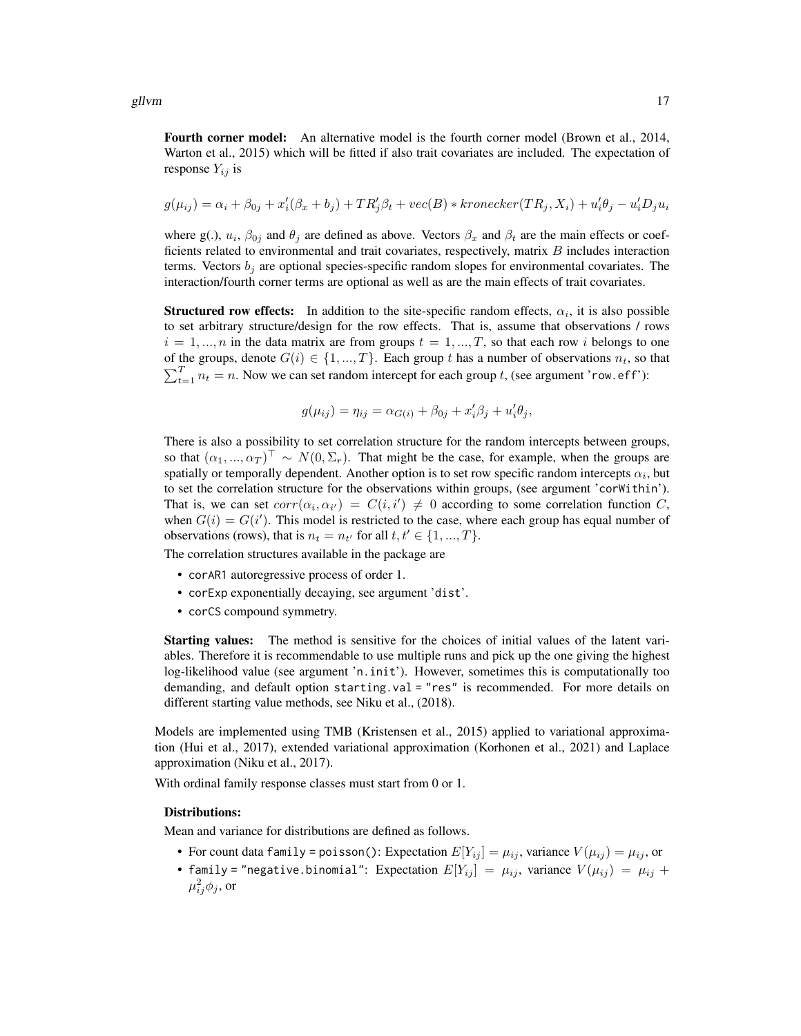Fourth corner model: An alternative model is the fourth corner model (Brown et al., 2014, Warton et al., 2015) which will be fitted if also trait covariates are included. The expectation of response  $Y_{ij}$  is

$$
g(\mu_{ij}) = \alpha_i + \beta_{0j} + x_i'(\beta_x + b_j) + TR_j'\beta_t + vec(B) * kronecker(TR_j, X_i) + u_i'\theta_j - u_i'D_ju_i
$$

where g(.),  $u_i$ ,  $\beta_{0j}$  and  $\theta_j$  are defined as above. Vectors  $\beta_x$  and  $\beta_t$  are the main effects or coefficients related to environmental and trait covariates, respectively, matrix  $B$  includes interaction terms. Vectors  $b_i$  are optional species-specific random slopes for environmental covariates. The interaction/fourth corner terms are optional as well as are the main effects of trait covariates.

**Structured row effects:** In addition to the site-specific random effects,  $\alpha_i$ , it is also possible to set arbitrary structure/design for the row effects. That is, assume that observations / rows  $i = 1, ..., n$  in the data matrix are from groups  $t = 1, ..., T$ , so that each row i belongs to one of the groups, denote  $G(i) \in \{1, ..., T\}$ . Each group t has a number of observations  $n_t$ , so that  $\sum_{t=1}^{T} n_t = n$ . Now we can set random intercept for each group t, (see argument 'row.eff'):

$$
g(\mu_{ij}) = \eta_{ij} = \alpha_{G(i)} + \beta_{0j} + x_i'\beta_j + u_i'\theta_j,
$$

There is also a possibility to set correlation structure for the random intercepts between groups, so that  $(\alpha_1, ..., \alpha_T)^\top \sim N(0, \Sigma_r)$ . That might be the case, for example, when the groups are spatially or temporally dependent. Another option is to set row specific random intercepts  $\alpha_i$ , but to set the correlation structure for the observations within groups, (see argument 'corWithin'). That is, we can set  $corr(\alpha_i, \alpha_{i'}) = C(i, i') \neq 0$  according to some correlation function C, when  $G(i) = G(i')$ . This model is restricted to the case, where each group has equal number of observations (rows), that is  $n_t = n_{t'}$  for all  $t, t' \in \{1, ..., T\}$ .

The correlation structures available in the package are

- corAR1 autoregressive process of order 1.
- corExp exponentially decaying, see argument 'dist'.
- corCS compound symmetry.

Starting values: The method is sensitive for the choices of initial values of the latent variables. Therefore it is recommendable to use multiple runs and pick up the one giving the highest log-likelihood value (see argument 'n.init'). However, sometimes this is computationally too demanding, and default option starting.val = "res" is recommended. For more details on different starting value methods, see Niku et al., (2018).

Models are implemented using TMB (Kristensen et al., 2015) applied to variational approximation (Hui et al., 2017), extended variational approximation (Korhonen et al., 2021) and Laplace approximation (Niku et al., 2017).

With ordinal family response classes must start from 0 or 1.

#### Distributions:

Mean and variance for distributions are defined as follows.

- For count data family = poisson(): Expectation  $E[Y_{ij}] = \mu_{ij}$ , variance  $V(\mu_{ij}) = \mu_{ij}$ , or
- family = "negative.binomial": Expectation  $E[Y_{ij}] = \mu_{ij}$ , variance  $V(\mu_{ij}) = \mu_{ij} +$  $\mu_{ij}^2 \phi_j$ , or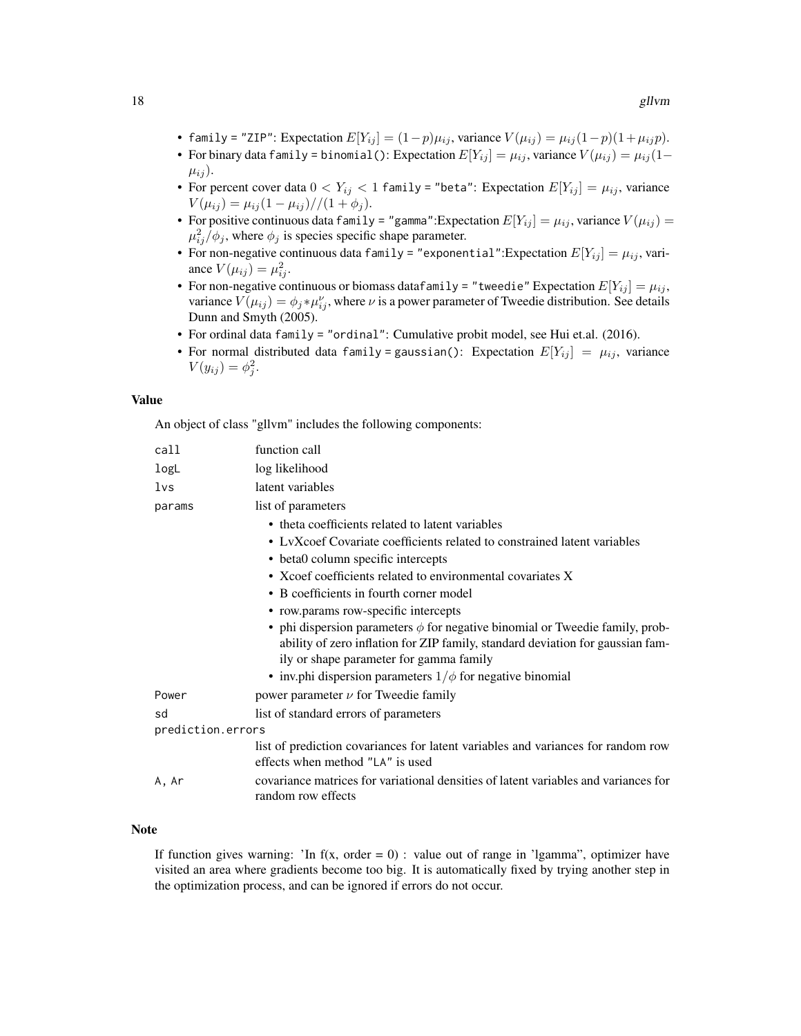- family = "ZIP": Expectation  $E[Y_{ij}] = (1-p)\mu_{ij}$ , variance  $V(\mu_{ij}) = \mu_{ij}(1-p)(1+\mu_{ij}p)$ .
- For binary data family = binomial(): Expectation  $E[Y_{ij}] = \mu_{ij}$ , variance  $V(\mu_{ij}) = \mu_{ij} (1-\mu_{ij})$  $\mu_{ij}$ ).
- For percent cover data  $0 < Y_{ij} < 1$  family = "beta": Expectation  $E[Y_{ij}] = \mu_{ij}$ , variance  $V(\mu_{ij}) = \mu_{ij} (1 - \mu_{ij}) / (1 + \phi_j).$
- For positive continuous data family = "gamma":Expectation  $E[Y_{ij}] = \mu_{ij}$ , variance  $V(\mu_{ij})$  =  $\mu_{ij}^2/\phi_j$ , where  $\phi_j$  is species specific shape parameter.
- For non-negative continuous data family = "exponential": Expectation  $E[Y_{ij}] = \mu_{ij}$ , variance  $V(\mu_{ij}) = \mu_{ij}^2$ .
- For non-negative continuous or biomass datafamily = "tweedie" Expectation  $E[Y_{ij}] = \mu_{ij}$ , variance  $V(\mu_{ij}) = \phi_j * \mu_{ij}^{\nu}$ , where  $\nu$  is a power parameter of Tweedie distribution. See details Dunn and Smyth (2005).
- For ordinal data family = "ordinal": Cumulative probit model, see Hui et.al. (2016).
- For normal distributed data family = gaussian(): Expectation  $E[Y_{ij}] = \mu_{ij}$ , variance  $V(y_{ij}) = \phi_j^2$ .

#### Value

An object of class "gllvm" includes the following components:

| call              | function call                                                                                                                                                                                                  |
|-------------------|----------------------------------------------------------------------------------------------------------------------------------------------------------------------------------------------------------------|
| logL              | log likelihood                                                                                                                                                                                                 |
| 1vs               | latent variables                                                                                                                                                                                               |
| params            | list of parameters                                                                                                                                                                                             |
|                   | • theta coefficients related to latent variables                                                                                                                                                               |
|                   | • LyXcoef Covariate coefficients related to constrained latent variables                                                                                                                                       |
|                   | • beta0 column specific intercepts                                                                                                                                                                             |
|                   | • Xcoef coefficients related to environmental covariates X                                                                                                                                                     |
|                   | • B coefficients in fourth corner model                                                                                                                                                                        |
|                   | • row.params row-specific intercepts                                                                                                                                                                           |
|                   | • phi dispersion parameters $\phi$ for negative binomial or Tweedie family, prob-<br>ability of zero inflation for ZIP family, standard deviation for gaussian fam-<br>ily or shape parameter for gamma family |
|                   | • inv.phi dispersion parameters $1/\phi$ for negative binomial                                                                                                                                                 |
| Power             | power parameter $\nu$ for Tweedie family                                                                                                                                                                       |
| sd                | list of standard errors of parameters                                                                                                                                                                          |
| prediction.errors |                                                                                                                                                                                                                |
|                   | list of prediction covariances for latent variables and variances for random row<br>effects when method "LA" is used                                                                                           |
| A, Ar             | covariance matrices for variational densities of latent variables and variances for<br>random row effects                                                                                                      |

#### **Note**

If function gives warning: 'In  $f(x, \text{ order} = 0)$  : value out of range in 'Igamma'', optimizer have visited an area where gradients become too big. It is automatically fixed by trying another step in the optimization process, and can be ignored if errors do not occur.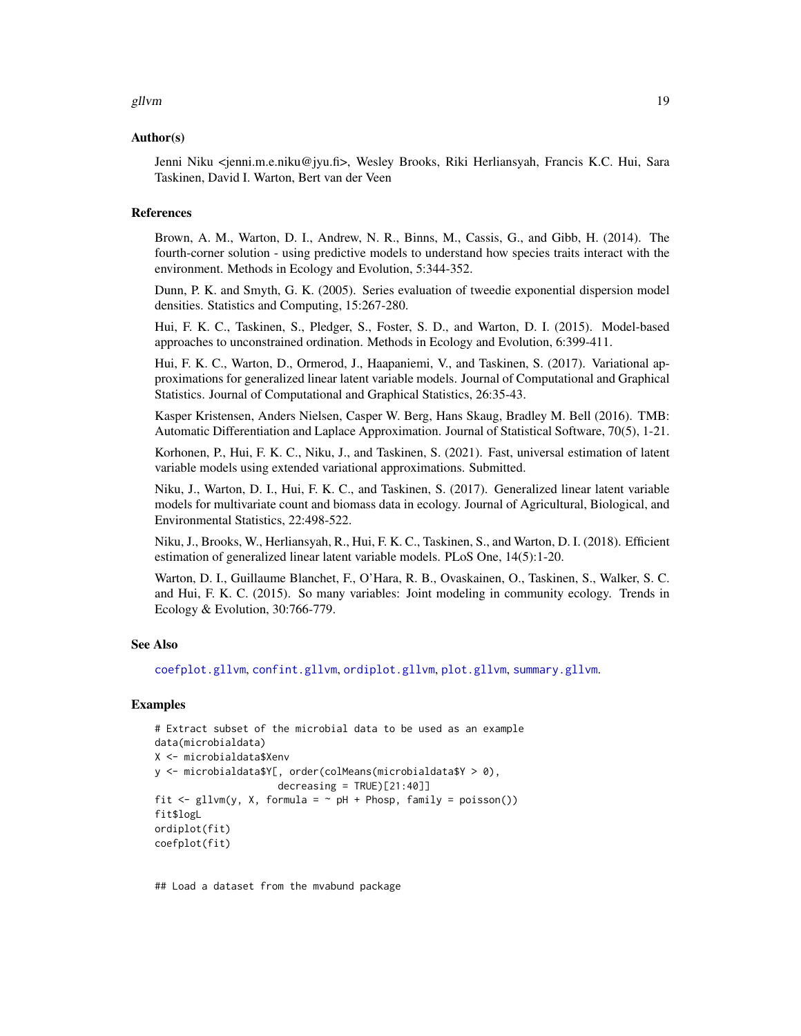#### <span id="page-18-0"></span>gllvm and the state of the state of the state of the state of the state of the state of the state of the state of the state of the state of the state of the state of the state of the state of the state of the state of the

#### Author(s)

Jenni Niku <jenni.m.e.niku@jyu.fi>, Wesley Brooks, Riki Herliansyah, Francis K.C. Hui, Sara Taskinen, David I. Warton, Bert van der Veen

#### **References**

Brown, A. M., Warton, D. I., Andrew, N. R., Binns, M., Cassis, G., and Gibb, H. (2014). The fourth-corner solution - using predictive models to understand how species traits interact with the environment. Methods in Ecology and Evolution, 5:344-352.

Dunn, P. K. and Smyth, G. K. (2005). Series evaluation of tweedie exponential dispersion model densities. Statistics and Computing, 15:267-280.

Hui, F. K. C., Taskinen, S., Pledger, S., Foster, S. D., and Warton, D. I. (2015). Model-based approaches to unconstrained ordination. Methods in Ecology and Evolution, 6:399-411.

Hui, F. K. C., Warton, D., Ormerod, J., Haapaniemi, V., and Taskinen, S. (2017). Variational approximations for generalized linear latent variable models. Journal of Computational and Graphical Statistics. Journal of Computational and Graphical Statistics, 26:35-43.

Kasper Kristensen, Anders Nielsen, Casper W. Berg, Hans Skaug, Bradley M. Bell (2016). TMB: Automatic Differentiation and Laplace Approximation. Journal of Statistical Software, 70(5), 1-21.

Korhonen, P., Hui, F. K. C., Niku, J., and Taskinen, S. (2021). Fast, universal estimation of latent variable models using extended variational approximations. Submitted.

Niku, J., Warton, D. I., Hui, F. K. C., and Taskinen, S. (2017). Generalized linear latent variable models for multivariate count and biomass data in ecology. Journal of Agricultural, Biological, and Environmental Statistics, 22:498-522.

Niku, J., Brooks, W., Herliansyah, R., Hui, F. K. C., Taskinen, S., and Warton, D. I. (2018). Efficient estimation of generalized linear latent variable models. PLoS One, 14(5):1-20.

Warton, D. I., Guillaume Blanchet, F., O'Hara, R. B., Ovaskainen, O., Taskinen, S., Walker, S. C. and Hui, F. K. C. (2015). So many variables: Joint modeling in community ecology. Trends in Ecology & Evolution, 30:766-779.

#### See Also

[coefplot.gllvm](#page-3-1), [confint.gllvm](#page-4-1), [ordiplot.gllvm](#page-22-1), [plot.gllvm](#page-25-1), [summary.gllvm](#page-34-1).

#### Examples

```
# Extract subset of the microbial data to be used as an example
data(microbialdata)
X <- microbialdata$Xenv
y <- microbialdata$Y[, order(colMeans(microbialdata$Y > 0),
                     decreasing = TRUE [21:40]]
fit \leq gllvm(y, X, formula = \sim pH + Phosp, family = poisson())
fit$logL
ordiplot(fit)
coefplot(fit)
```
## Load a dataset from the mvabund package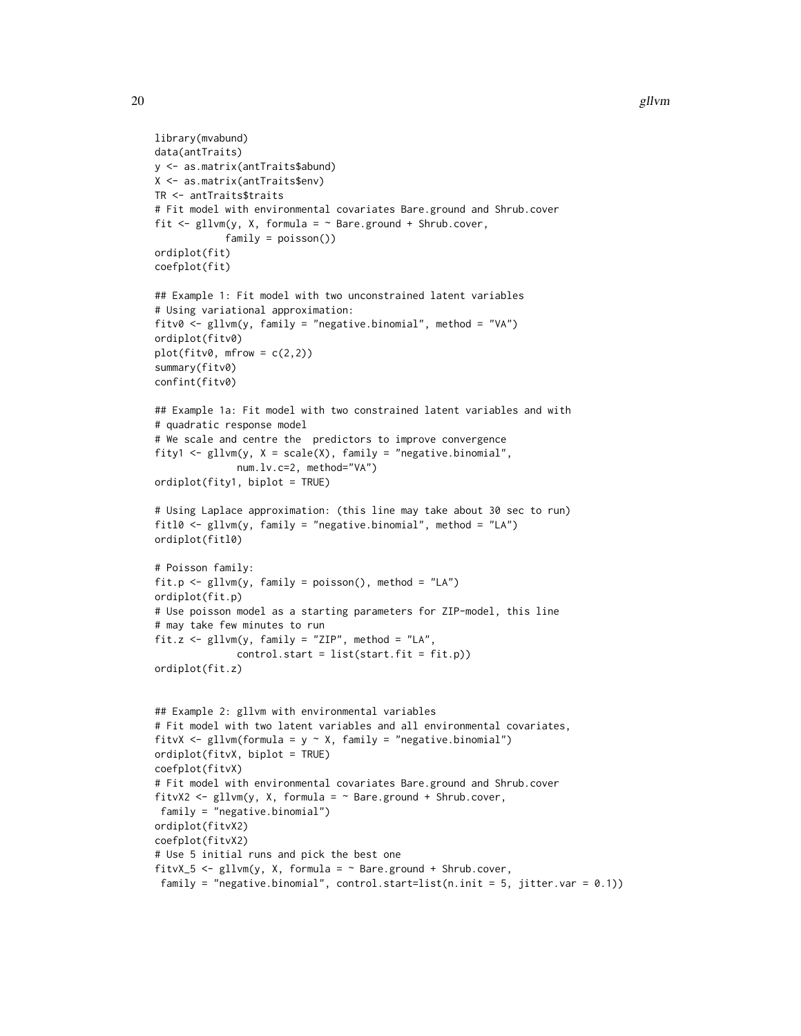```
20 gllvm
```

```
library(mvabund)
data(antTraits)
y <- as.matrix(antTraits$abund)
X <- as.matrix(antTraits$env)
TR <- antTraits$traits
# Fit model with environmental covariates Bare.ground and Shrub.cover
fit \leq gllvm(y, X, formula = \sim Bare.ground + Shrub.cover,
            family = poisson())
ordiplot(fit)
coefplot(fit)
## Example 1: Fit model with two unconstrained latent variables
# Using variational approximation:
fitv0 \leq g \text{llw}(y, \text{ family} = \text{``negative} \cdot \text{binomial''}, \text{ method} = \text{``VA''})ordiplot(fitv0)
plot(fitv0, mfrow = c(2,2))summary(fitv0)
confint(fitv0)
## Example 1a: Fit model with two constrained latent variables and with
# quadratic response model
# We scale and centre the predictors to improve convergence
fity1 <- gllvm(y, X = scale(X), family = "negative.binomial",
              num.lv.c=2, method="VA")
ordiplot(fity1, biplot = TRUE)
# Using Laplace approximation: (this line may take about 30 sec to run)
fitl0 \le gllvm(y, family = "negative.binomial", method = "LA")
ordiplot(fitl0)
# Poisson family:
fit.p \le gllvm(y, family = poisson(), method = "LA")
ordiplot(fit.p)
# Use poisson model as a starting parameters for ZIP-model, this line
# may take few minutes to run
fit.z <- gllvm(y, family = "ZIP", method = "LA",
              control.start = list(start.fit = fit.p)ordiplot(fit.z)
## Example 2: gllvm with environmental variables
# Fit model with two latent variables and all environmental covariates,
fitvX <- gllvm(formula = y ~ X, family = "negative.binomial")
ordiplot(fitvX, biplot = TRUE)
coefplot(fitvX)
# Fit model with environmental covariates Bare.ground and Shrub.cover
fitvX2 <- gllvm(y, X, formula = ~Bare.ground + Shrub.cover,family = "negative.binomial")
ordiplot(fitvX2)
coefplot(fitvX2)
# Use 5 initial runs and pick the best one
fitvX_5 <- gllvm(y, X, formula = ~Bare.ground + Shrub.cover,family = "negative.binomial", control.start=list(n.init = 5, jitter.var = (0.1))
```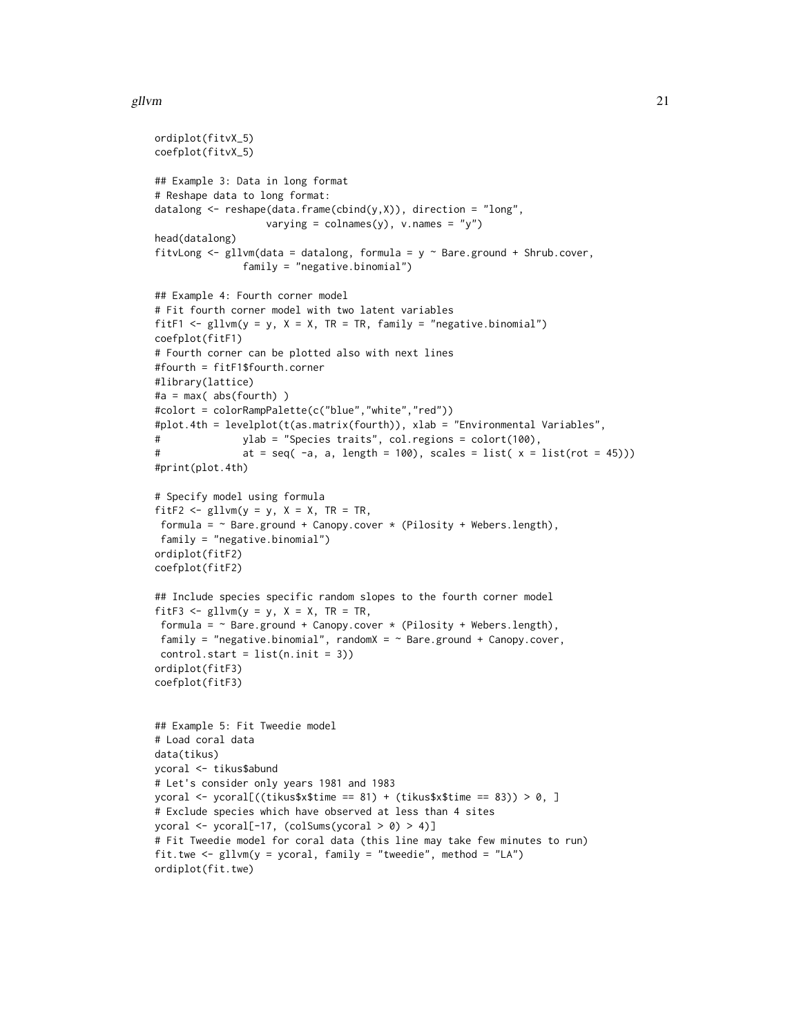#### gllvm 21

```
ordiplot(fitvX_5)
coefplot(fitvX_5)
## Example 3: Data in long format
# Reshape data to long format:
datalong <- reshape(data.frame(cbind(y,X)), direction = "long",
                   varying = colnames(y), v.names = "y")
head(datalong)
fitvLong \leq gllvm(data = datalong, formula = y \sim Bare.ground + Shrub.cover,
               family = "negative.binomial")
## Example 4: Fourth corner model
# Fit fourth corner model with two latent variables
fitF1 <- gllvm(y = y, X = X, TR = TR, family = "negative.binomial")
coefplot(fitF1)
# Fourth corner can be plotted also with next lines
#fourth = fitF1$fourth.corner
#library(lattice)
#a = max(abs(fourth))#colort = colorRampPalette(c("blue","white","red"))
#plot.4th = levelplot(t(as.matrix(fourth)), xlab = "Environmental Variables",
# ylab = "Species traits", col.regions = colort(100),
# at = seq(-a, a, length = 100), scales = list(x = list(root = 45)))#print(plot.4th)
# Specify model using formula
fitF2 \leftarrow gllvm(y = y, X = X, TR = TR,
 formula = \sim Bare.ground + Canopy.cover * (Pilosity + Webers.length),
 family = "negative.binomial")
ordiplot(fitF2)
coefplot(fitF2)
## Include species specific random slopes to the fourth corner model
fitF3 \leq gllvm(y = y, X = X, TR = TR,
 formula = \sim Bare.ground + Canopy.cover * (Pilosity + Webers.length),
 family = "negative.binomial", randomX = \sim Bare.ground + Canopy.cover,
 control.start = list(n.int = 3))ordiplot(fitF3)
coefplot(fitF3)
## Example 5: Fit Tweedie model
# Load coral data
data(tikus)
ycoral <- tikus$abund
# Let's consider only years 1981 and 1983
ycoral <- ycoral[((tikus$x$time == 81) + (tikus$x$time == 83)) > 0, ]
# Exclude species which have observed at less than 4 sites
ycoral <- ycoral[-17, (colSums(ycoral > 0) > 4)]
# Fit Tweedie model for coral data (this line may take few minutes to run)
fit.twe \leq gllvm(y = ycoral, family = "tweedie", method = "LA")
ordiplot(fit.twe)
```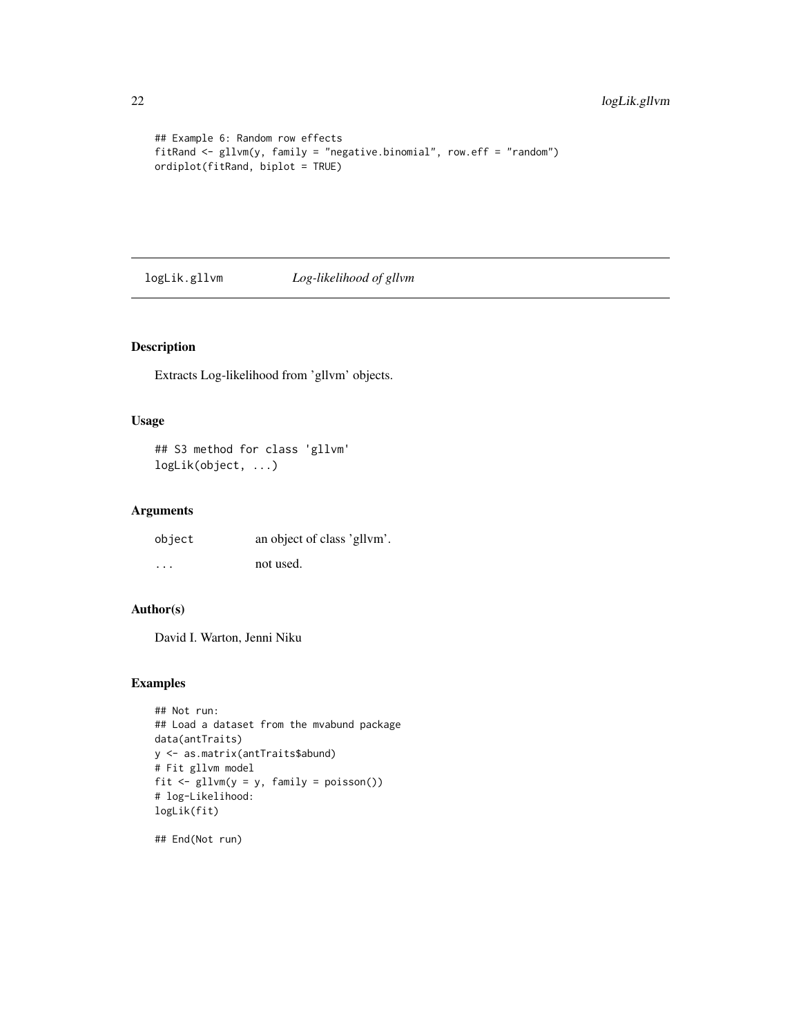```
## Example 6: Random row effects
fitRand <- gllvm(y, family = "negative.binomial", row.eff = "random")
ordiplot(fitRand, biplot = TRUE)
```
logLik.gllvm *Log-likelihood of gllvm*

# Description

Extracts Log-likelihood from 'gllvm' objects.

#### Usage

## S3 method for class 'gllvm' logLik(object, ...)

# Arguments

| object   | an object of class 'gllym'. |
|----------|-----------------------------|
| $\cdots$ | not used.                   |

# Author(s)

David I. Warton, Jenni Niku

# Examples

```
## Not run:
## Load a dataset from the mvabund package
data(antTraits)
y <- as.matrix(antTraits$abund)
# Fit gllvm model
fit <- gllvm(y = y, family = poisson())
# log-Likelihood:
logLik(fit)
```
## End(Not run)

<span id="page-21-0"></span>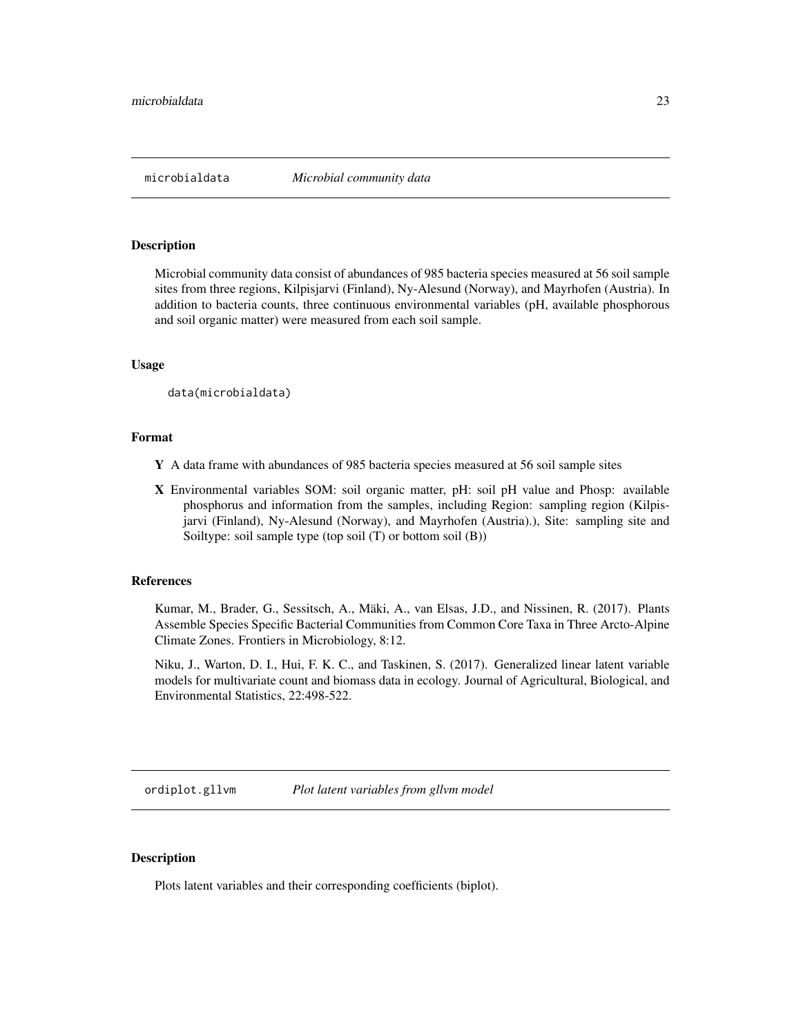<span id="page-22-0"></span>

#### Description

Microbial community data consist of abundances of 985 bacteria species measured at 56 soil sample sites from three regions, Kilpisjarvi (Finland), Ny-Alesund (Norway), and Mayrhofen (Austria). In addition to bacteria counts, three continuous environmental variables (pH, available phosphorous and soil organic matter) were measured from each soil sample.

#### Usage

data(microbialdata)

#### Format

- Y A data frame with abundances of 985 bacteria species measured at 56 soil sample sites
- X Environmental variables SOM: soil organic matter, pH: soil pH value and Phosp: available phosphorus and information from the samples, including Region: sampling region (Kilpisjarvi (Finland), Ny-Alesund (Norway), and Mayrhofen (Austria).), Site: sampling site and Soiltype: soil sample type (top soil (T) or bottom soil (B))

# References

Kumar, M., Brader, G., Sessitsch, A., Mäki, A., van Elsas, J.D., and Nissinen, R. (2017). Plants Assemble Species Specific Bacterial Communities from Common Core Taxa in Three Arcto-Alpine Climate Zones. Frontiers in Microbiology, 8:12.

Niku, J., Warton, D. I., Hui, F. K. C., and Taskinen, S. (2017). Generalized linear latent variable models for multivariate count and biomass data in ecology. Journal of Agricultural, Biological, and Environmental Statistics, 22:498-522.

<span id="page-22-1"></span>ordiplot.gllvm *Plot latent variables from gllvm model*

#### Description

Plots latent variables and their corresponding coefficients (biplot).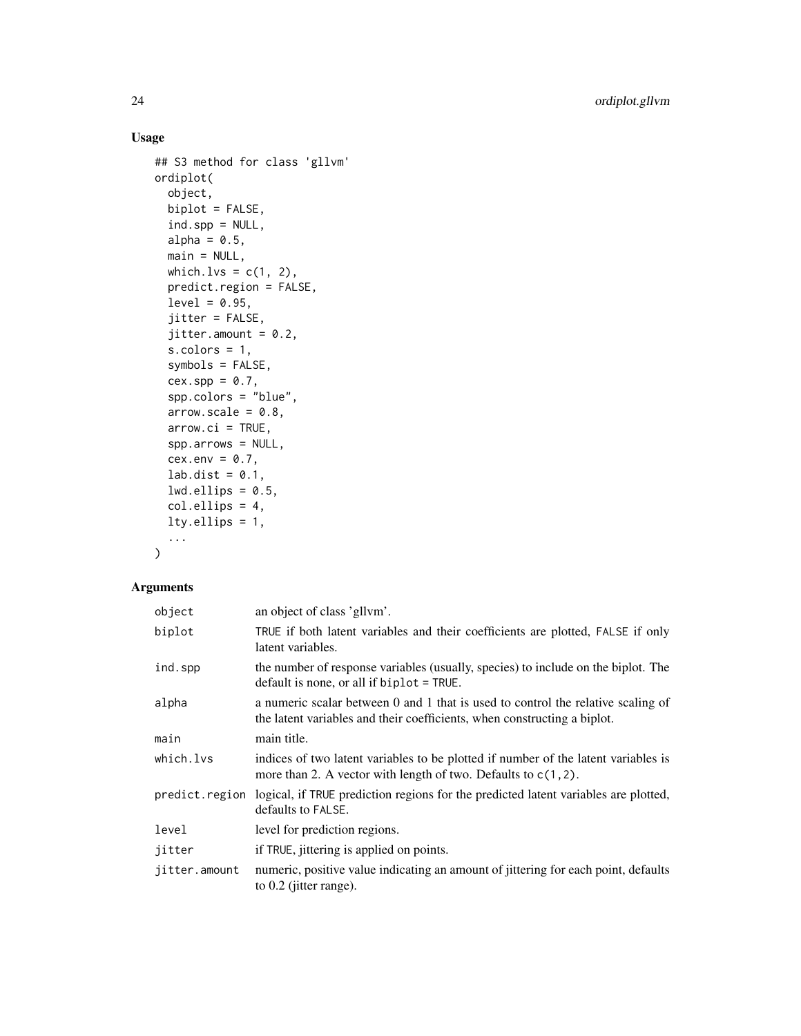# Usage

```
## S3 method for class 'gllvm'
ordiplot(
  object,
 biplot = FALSE,
  ind.spp = NULL,
  alpha = 0.5,
 main = NULL,
 which.lvs = c(1, 2),
 predict.region = FALSE,
  level = 0.95,jitter = FALSE,
  jitter.annotation = 0.2,s.colors = 1,
  symbols = FALSE,
  cex.\,spp = 0.7,spp.colors = "blue",
  arrow.sizele = 0.8,
  arrow.ci = TRUE,spp.arrows = NULL,
  cex.env = 0.7,
  lab.dist = 0.1,
  lwd.ellips = 0.5,
  col.ellips = 4,
 lty.ellips = 1,
  ...
```
# $\mathcal{L}$

# Arguments

| object        | an object of class 'gllvm'.                                                                                                                                  |
|---------------|--------------------------------------------------------------------------------------------------------------------------------------------------------------|
| biplot        | TRUE if both latent variables and their coefficients are plotted, FALSE if only<br>latent variables.                                                         |
| ind.spp       | the number of response variables (usually, species) to include on the biplot. The<br>default is none, or all if $biplot = TRUE$ .                            |
| alpha         | a numeric scalar between 0 and 1 that is used to control the relative scaling of<br>the latent variables and their coefficients, when constructing a biplot. |
| main          | main title.                                                                                                                                                  |
| which.lvs     | indices of two latent variables to be plotted if number of the latent variables is<br>more than 2. A vector with length of two. Defaults to $c(1, 2)$ .      |
|               | predict. region logical, if TRUE prediction regions for the predicted latent variables are plotted,<br>defaults to FALSE.                                    |
| level         | level for prediction regions.                                                                                                                                |
| jitter        | if TRUE, jittering is applied on points.                                                                                                                     |
| jitter.amount | numeric, positive value indicating an amount of jittering for each point, defaults<br>to 0.2 (jitter range).                                                 |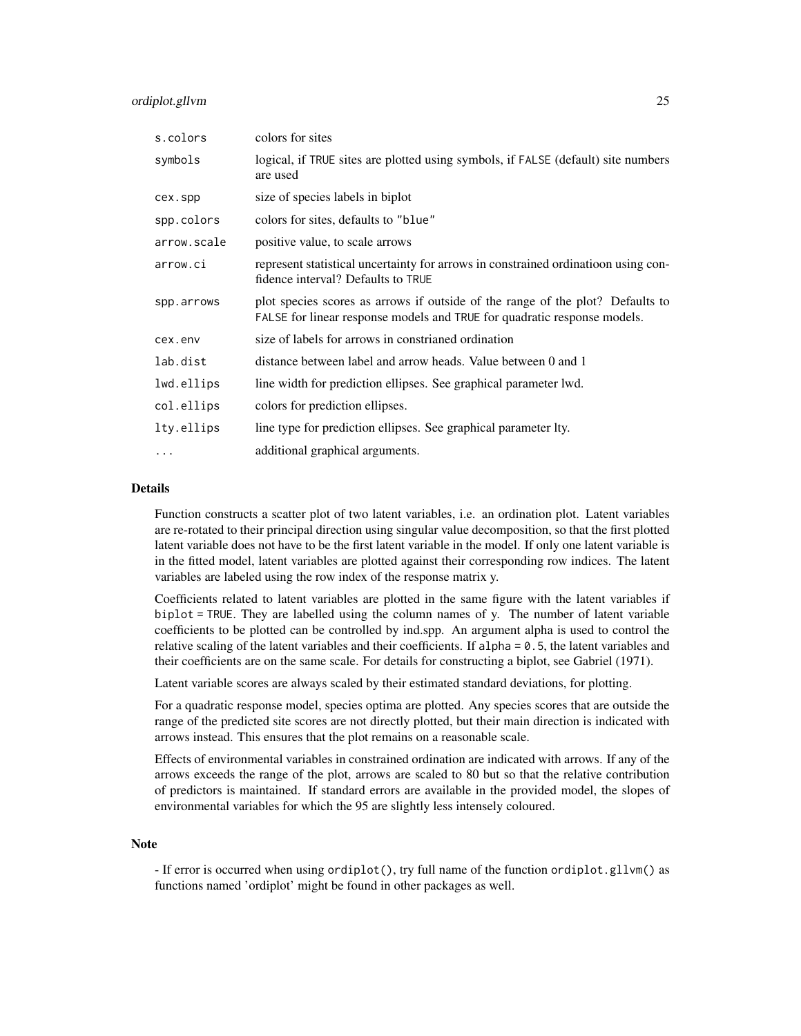#### ordiplot.gllvm 25

| s.colors    | colors for sites                                                                                                                                           |
|-------------|------------------------------------------------------------------------------------------------------------------------------------------------------------|
| symbols     | logical, if TRUE sites are plotted using symbols, if FALSE (default) site numbers<br>are used                                                              |
| cex.spp     | size of species labels in biplot                                                                                                                           |
| spp.colors  | colors for sites, defaults to "blue"                                                                                                                       |
| arrow.scale | positive value, to scale arrows                                                                                                                            |
| arrow.ci    | represent statistical uncertainty for arrows in constrained ordination using con-<br>fidence interval? Defaults to TRUE                                    |
| spp.arrows  | plot species scores as arrows if outside of the range of the plot? Defaults to<br>FALSE for linear response models and TRUE for quadratic response models. |
| cex.env     | size of labels for arrows in constrianed ordination                                                                                                        |
| lab.dist    | distance between label and arrow heads. Value between 0 and 1                                                                                              |
| lwd.ellips  | line width for prediction ellipses. See graphical parameter lwd.                                                                                           |
| col.ellips  | colors for prediction ellipses.                                                                                                                            |
| lty.ellips  | line type for prediction ellipses. See graphical parameter lty.                                                                                            |
| $\cdots$    | additional graphical arguments.                                                                                                                            |

## Details

Function constructs a scatter plot of two latent variables, i.e. an ordination plot. Latent variables are re-rotated to their principal direction using singular value decomposition, so that the first plotted latent variable does not have to be the first latent variable in the model. If only one latent variable is in the fitted model, latent variables are plotted against their corresponding row indices. The latent variables are labeled using the row index of the response matrix y.

Coefficients related to latent variables are plotted in the same figure with the latent variables if biplot = TRUE. They are labelled using the column names of y. The number of latent variable coefficients to be plotted can be controlled by ind.spp. An argument alpha is used to control the relative scaling of the latent variables and their coefficients. If alpha = 0.5, the latent variables and their coefficients are on the same scale. For details for constructing a biplot, see Gabriel (1971).

Latent variable scores are always scaled by their estimated standard deviations, for plotting.

For a quadratic response model, species optima are plotted. Any species scores that are outside the range of the predicted site scores are not directly plotted, but their main direction is indicated with arrows instead. This ensures that the plot remains on a reasonable scale.

Effects of environmental variables in constrained ordination are indicated with arrows. If any of the arrows exceeds the range of the plot, arrows are scaled to 80 but so that the relative contribution of predictors is maintained. If standard errors are available in the provided model, the slopes of environmental variables for which the 95 are slightly less intensely coloured.

#### Note

- If error is occurred when using ordiplot(), try full name of the function ordiplot.gllvm() as functions named 'ordiplot' might be found in other packages as well.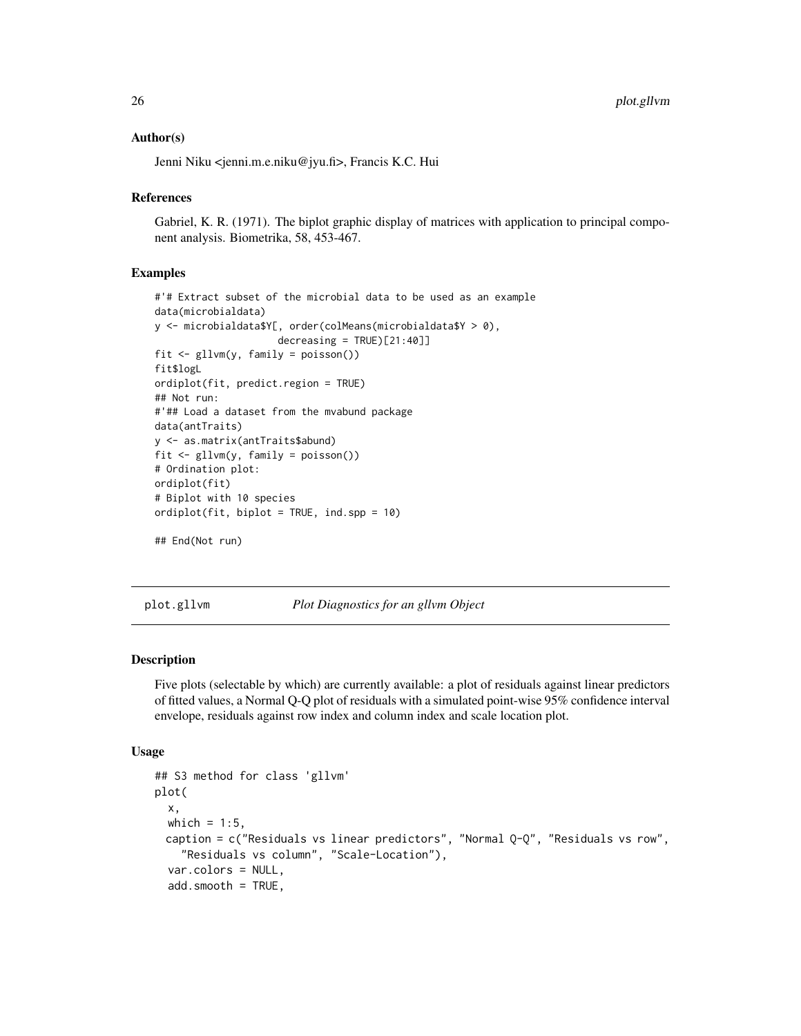#### <span id="page-25-0"></span>Author(s)

Jenni Niku <jenni.m.e.niku@jyu.fi>, Francis K.C. Hui

#### **References**

Gabriel, K. R. (1971). The biplot graphic display of matrices with application to principal component analysis. Biometrika, 58, 453-467.

#### Examples

```
#'# Extract subset of the microbial data to be used as an example
data(microbialdata)
y <- microbialdata$Y[, order(colMeans(microbialdata$Y > 0),
                     decreasing = TRUE)[21:40]]
fit \leq gllvm(y, family = poisson())
fit$logL
ordiplot(fit, predict.region = TRUE)
## Not run:
#'## Load a dataset from the mvabund package
data(antTraits)
y <- as.matrix(antTraits$abund)
fit \leq gllvm(y, family = poisson())
# Ordination plot:
ordiplot(fit)
# Biplot with 10 species
ordiplot(fit, biplot = TRUE, ind.spp = 10)
## End(Not run)
```
<span id="page-25-1"></span>plot.gllvm *Plot Diagnostics for an gllvm Object*

#### Description

Five plots (selectable by which) are currently available: a plot of residuals against linear predictors of fitted values, a Normal Q-Q plot of residuals with a simulated point-wise 95% confidence interval envelope, residuals against row index and column index and scale location plot.

#### Usage

```
## S3 method for class 'gllvm'
plot(
  x,
 which = 1:5,
 caption = c("Residuals vs linear predictors", "Normal Q-Q'', "Residuals vs row",
    "Residuals vs column", "Scale-Location"),
  var.colors = NULL,
  add.smooth = TRUE,
```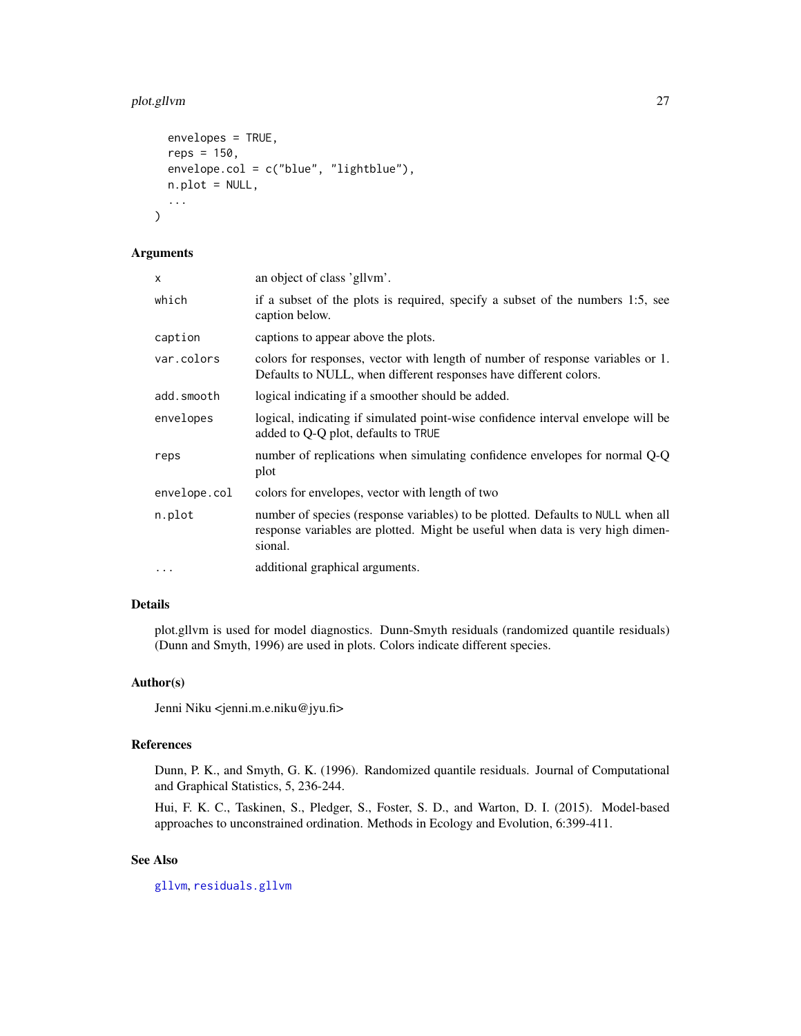# <span id="page-26-0"></span>plot.gllvm 27

```
envelopes = TRUE,
  reps = 150,
 envelope.col = c("blue", "lightblue"),
 n.plot = NULL,
  ...
)
```
# Arguments

| x            | an object of class 'gllym'.                                                                                                                                                 |
|--------------|-----------------------------------------------------------------------------------------------------------------------------------------------------------------------------|
| which        | if a subset of the plots is required, specify a subset of the numbers 1:5, see<br>caption below.                                                                            |
| caption      | captions to appear above the plots.                                                                                                                                         |
| var.colors   | colors for responses, vector with length of number of response variables or 1.<br>Defaults to NULL, when different responses have different colors.                         |
| add.smooth   | logical indicating if a smoother should be added.                                                                                                                           |
| envelopes    | logical, indicating if simulated point-wise confidence interval envelope will be<br>added to Q-Q plot, defaults to TRUE                                                     |
| reps         | number of replications when simulating confidence envelopes for normal Q-Q<br>plot                                                                                          |
| envelope.col | colors for envelopes, vector with length of two                                                                                                                             |
| n.plot       | number of species (response variables) to be plotted. Defaults to NULL when all<br>response variables are plotted. Might be useful when data is very high dimen-<br>sional. |
| $\cdots$     | additional graphical arguments.                                                                                                                                             |

# Details

plot.gllvm is used for model diagnostics. Dunn-Smyth residuals (randomized quantile residuals) (Dunn and Smyth, 1996) are used in plots. Colors indicate different species.

#### Author(s)

Jenni Niku <jenni.m.e.niku@jyu.fi>

#### References

Dunn, P. K., and Smyth, G. K. (1996). Randomized quantile residuals. Journal of Computational and Graphical Statistics, 5, 236-244.

Hui, F. K. C., Taskinen, S., Pledger, S., Foster, S. D., and Warton, D. I. (2015). Model-based approaches to unconstrained ordination. Methods in Ecology and Evolution, 6:399-411.

# See Also

[gllvm](#page-11-1), [residuals.gllvm](#page-31-1)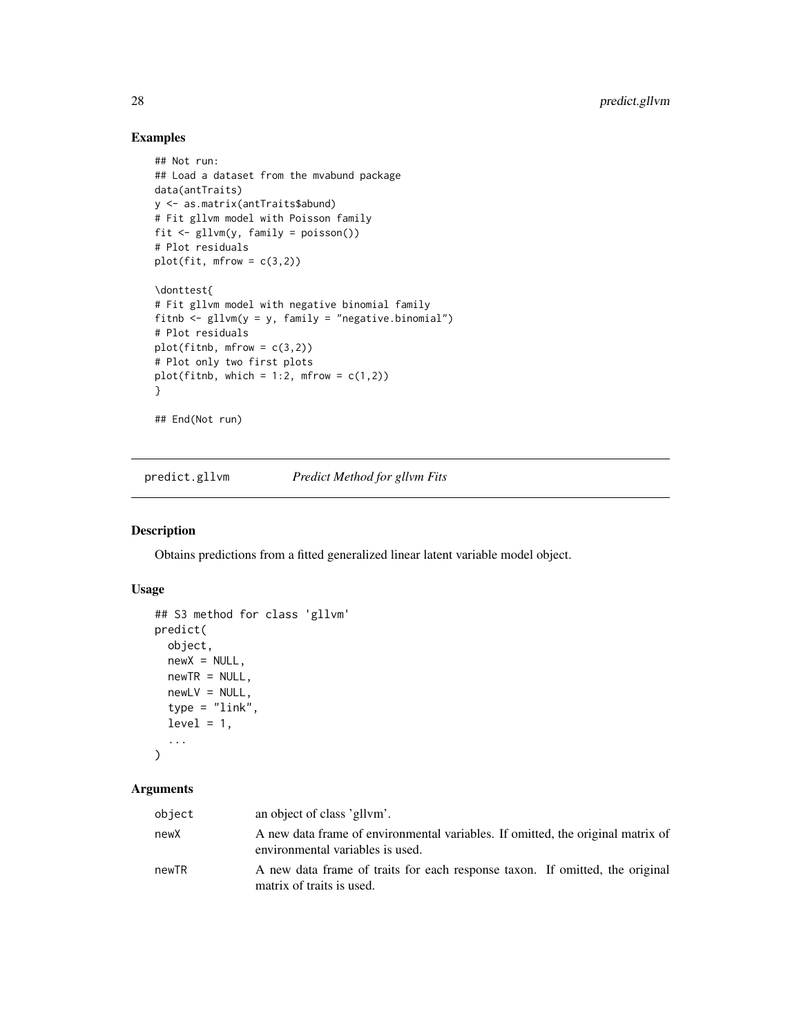# Examples

```
## Not run:
## Load a dataset from the mvabund package
data(antTraits)
y <- as.matrix(antTraits$abund)
# Fit gllvm model with Poisson family
fit <- gllvm(y, family = poisson())
# Plot residuals
plot(fit, mfrow = c(3,2))\donttest{
# Fit gllvm model with negative binomial family
fitnb \leq gllvm(y = y, family = "negative.binomial")
# Plot residuals
plot(fithb, mfrow = c(3,2))# Plot only two first plots
plot(fitnb, which = 1:2, mfrow = c(1,2))
}
## End(Not run)
```
predict.gllvm *Predict Method for gllvm Fits*

#### Description

Obtains predictions from a fitted generalized linear latent variable model object.

# Usage

```
## S3 method for class 'gllvm'
predict(
 object,
 newX = NULL,newTR = NULL,newLV = NULL,type = "link",
 level = 1,...
)
```
#### Arguments

| object | an object of class 'gllym'.                                                                                         |
|--------|---------------------------------------------------------------------------------------------------------------------|
| newX   | A new data frame of environmental variables. If omitted, the original matrix of<br>environmental variables is used. |
| newTR  | A new data frame of traits for each response taxon. If omitted, the original<br>matrix of traits is used.           |

<span id="page-27-0"></span>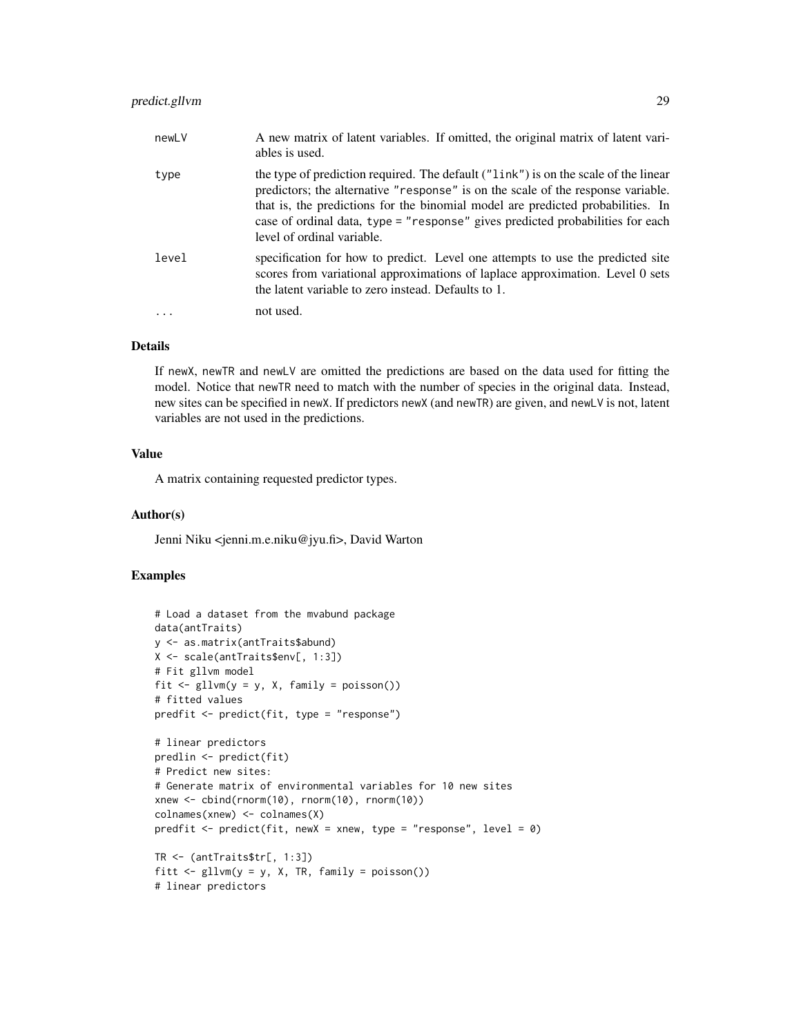# predict.gllvm 29

| newLV | A new matrix of latent variables. If omitted, the original matrix of latent vari-<br>ables is used.                                                                                                                                                                                                                                                                        |
|-------|----------------------------------------------------------------------------------------------------------------------------------------------------------------------------------------------------------------------------------------------------------------------------------------------------------------------------------------------------------------------------|
| type  | the type of prediction required. The default ("link") is on the scale of the linear<br>predictors; the alternative "response" is on the scale of the response variable.<br>that is, the predictions for the binomial model are predicted probabilities. In<br>case of ordinal data, type = "response" gives predicted probabilities for each<br>level of ordinal variable. |
| level | specification for how to predict. Level one attempts to use the predicted site<br>scores from variational approximations of laplace approximation. Level 0 sets<br>the latent variable to zero instead. Defaults to 1.                                                                                                                                                     |
|       | not used.                                                                                                                                                                                                                                                                                                                                                                  |

### Details

If newX, newTR and newLV are omitted the predictions are based on the data used for fitting the model. Notice that newTR need to match with the number of species in the original data. Instead, new sites can be specified in newX. If predictors newX (and newTR) are given, and newLV is not, latent variables are not used in the predictions.

# Value

A matrix containing requested predictor types.

#### Author(s)

Jenni Niku <jenni.m.e.niku@jyu.fi>, David Warton

#### Examples

```
# Load a dataset from the mvabund package
data(antTraits)
y <- as.matrix(antTraits$abund)
X <- scale(antTraits$env[, 1:3])
# Fit gllvm model
fit \le gllvm(y = y, X, family = poisson())
# fitted values
predfit <- predict(fit, type = "response")
# linear predictors
predlin <- predict(fit)
# Predict new sites:
# Generate matrix of environmental variables for 10 new sites
xnew <- cbind(rnorm(10), rnorm(10), rnorm(10))
colnames(xnew) <- colnames(X)
predfit \leq predict(fit, newX = xnew, type = "response", level = 0)
TR <- (antTraits$tr[, 1:3])
fitt \leq gllvm(y = y, X, TR, family = poisson())
# linear predictors
```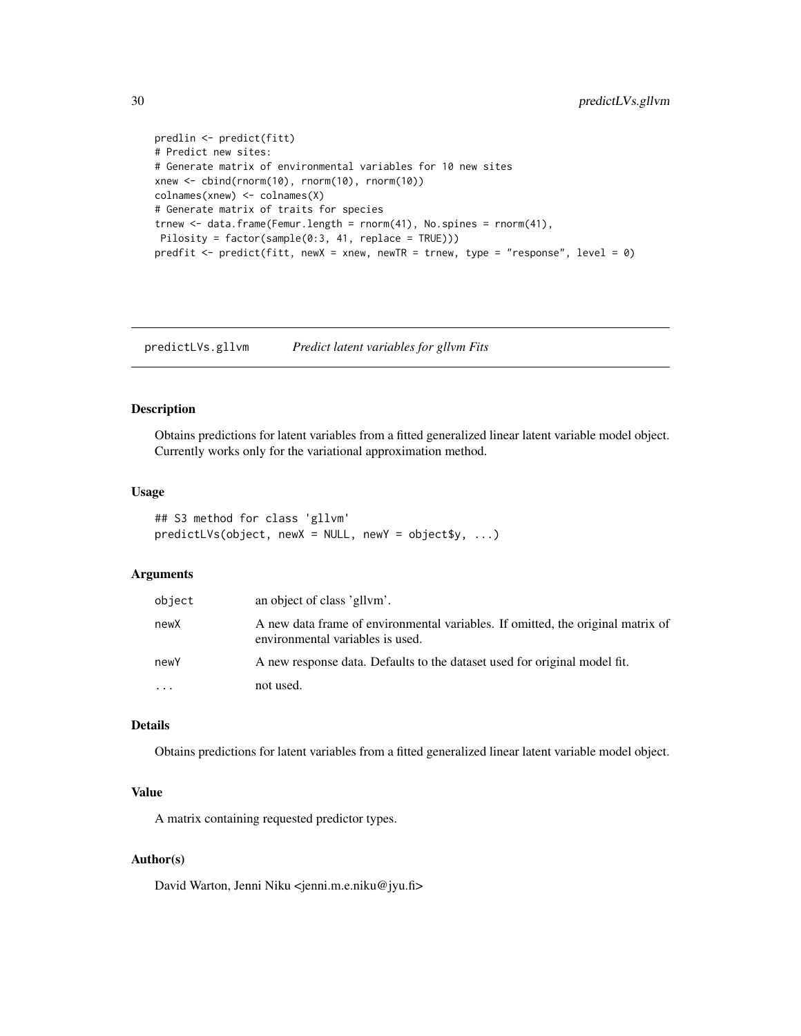```
predlin <- predict(fitt)
# Predict new sites:
# Generate matrix of environmental variables for 10 new sites
xnew <- cbind(rnorm(10), rnorm(10), rnorm(10))
colnames(xnew) <- colnames(X)
# Generate matrix of traits for species
trnew \leq data.frame(Femur.length = rnorm(41), No.spines = rnorm(41),
Pilosity = factor(sample(0:3, 41, replace = TRUE)))
predfit <- predict(fitt, newX = xnew, newTR = trnew, type = "response", level = 0)
```
predictLVs.gllvm *Predict latent variables for gllvm Fits*

# Description

Obtains predictions for latent variables from a fitted generalized linear latent variable model object. Currently works only for the variational approximation method.

#### Usage

```
## S3 method for class 'gllvm'
predictLVs(object, newX = NULL, newY = object$y, ...)
```
## Arguments

| object | an object of class 'gllym'.                                                                                         |
|--------|---------------------------------------------------------------------------------------------------------------------|
| newX   | A new data frame of environmental variables. If omitted, the original matrix of<br>environmental variables is used. |
| newY   | A new response data. Defaults to the dataset used for original model fit.                                           |
| .      | not used.                                                                                                           |

# Details

Obtains predictions for latent variables from a fitted generalized linear latent variable model object.

# Value

A matrix containing requested predictor types.

#### Author(s)

David Warton, Jenni Niku <jenni.m.e.niku@jyu.fi>

<span id="page-29-0"></span>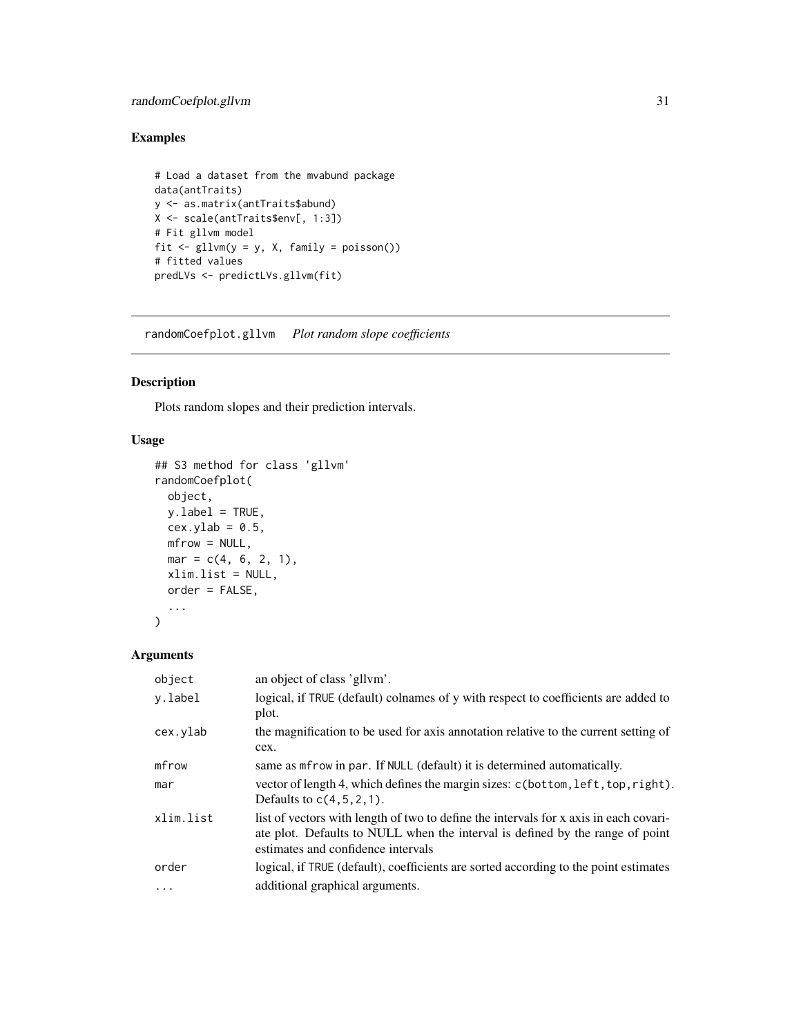# <span id="page-30-0"></span>randomCoefplot.gllvm 31

# Examples

```
# Load a dataset from the mvabund package
data(antTraits)
y <- as.matrix(antTraits$abund)
X <- scale(antTraits$env[, 1:3])
# Fit gllvm model
fit \le gllvm(y = y, X, family = poisson())
# fitted values
predLVs <- predictLVs.gllvm(fit)
```
randomCoefplot.gllvm *Plot random slope coefficients*

# Description

Plots random slopes and their prediction intervals.

# Usage

```
## S3 method for class 'gllvm'
randomCoefplot(
  object,
 y.label = TRUE,
 cex.ylab = 0.5,
 mfrow = NULL,
 mar = c(4, 6, 2, 1),xlim.list = NULL,
 order = FALSE,
  ...
)
```
# Arguments

| object    | an object of class 'gllym'.                                                                                                                                                                                  |
|-----------|--------------------------------------------------------------------------------------------------------------------------------------------------------------------------------------------------------------|
| y.label   | logical, if TRUE (default) colnames of y with respect to coefficients are added to<br>plot.                                                                                                                  |
| cex.ylab  | the magnification to be used for axis annotation relative to the current setting of<br>cex.                                                                                                                  |
| mfrow     | same as mfrow in par. If NULL (default) it is determined automatically.                                                                                                                                      |
| mar       | vector of length 4, which defines the margin sizes: c(bottom, left, top, right).<br>Defaults to $c(4, 5, 2, 1)$ .                                                                                            |
| xlim.list | list of vectors with length of two to define the intervals for x axis in each covari-<br>ate plot. Defaults to NULL when the interval is defined by the range of point<br>estimates and confidence intervals |
| order     | logical, if TRUE (default), coefficients are sorted according to the point estimates                                                                                                                         |
| .         | additional graphical arguments.                                                                                                                                                                              |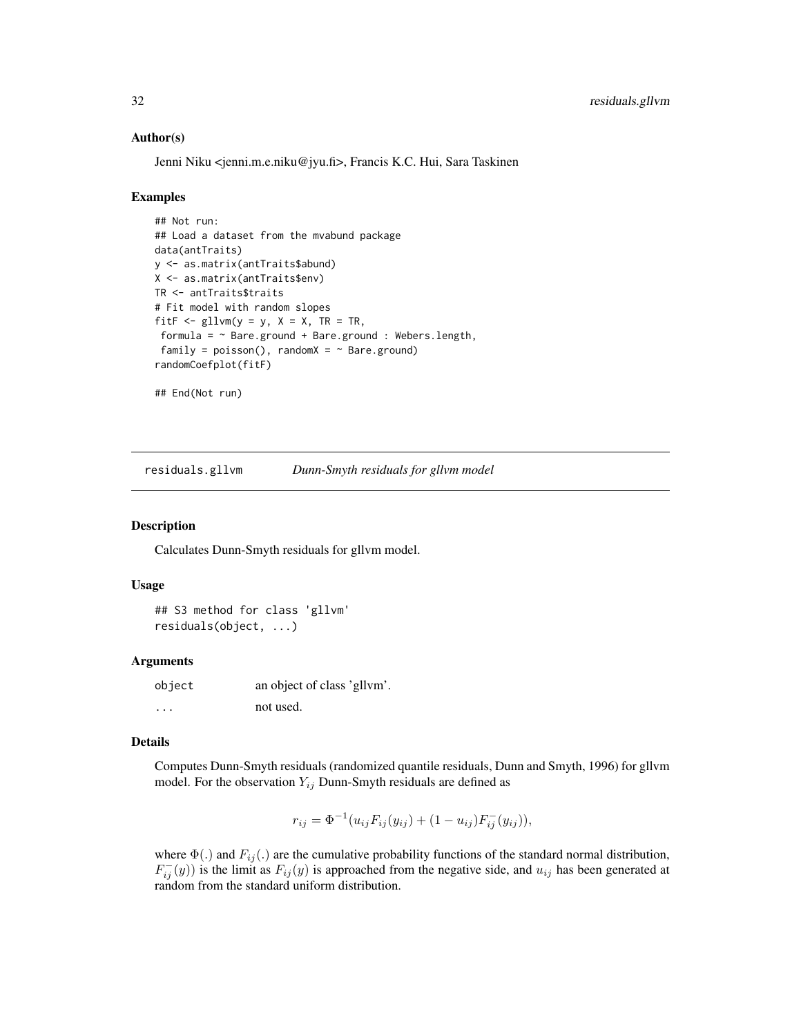#### Author(s)

Jenni Niku <jenni.m.e.niku@jyu.fi>, Francis K.C. Hui, Sara Taskinen

#### Examples

```
## Not run:
## Load a dataset from the mvabund package
data(antTraits)
y <- as.matrix(antTraits$abund)
X <- as.matrix(antTraits$env)
TR <- antTraits$traits
# Fit model with random slopes
fitF \le gllvm(y = y, X = X, TR = TR,
 formula = \sim Bare.ground + Bare.ground : Webers.length,
 family = poisson(), randomX = \sim Bare.ground)
randomCoefplot(fitF)
## End(Not run)
```
<span id="page-31-1"></span>residuals.gllvm *Dunn-Smyth residuals for gllvm model*

## Description

Calculates Dunn-Smyth residuals for gllvm model.

#### Usage

## S3 method for class 'gllvm' residuals(object, ...)

#### Arguments

object an object of class 'gllvm'. ... not used.

#### Details

Computes Dunn-Smyth residuals (randomized quantile residuals, Dunn and Smyth, 1996) for gllvm model. For the observation  $Y_{ij}$  Dunn-Smyth residuals are defined as

$$
r_{ij} = \Phi^{-1}(u_{ij}F_{ij}(y_{ij}) + (1 - u_{ij})F_{ij}^-(y_{ij})),
$$

where  $\Phi(.)$  and  $F_{ij}(.)$  are the cumulative probability functions of the standard normal distribution,  $F_{ij}^{-}(y)$ ) is the limit as  $F_{ij}(y)$  is approached from the negative side, and  $u_{ij}$  has been generated at random from the standard uniform distribution.

<span id="page-31-0"></span>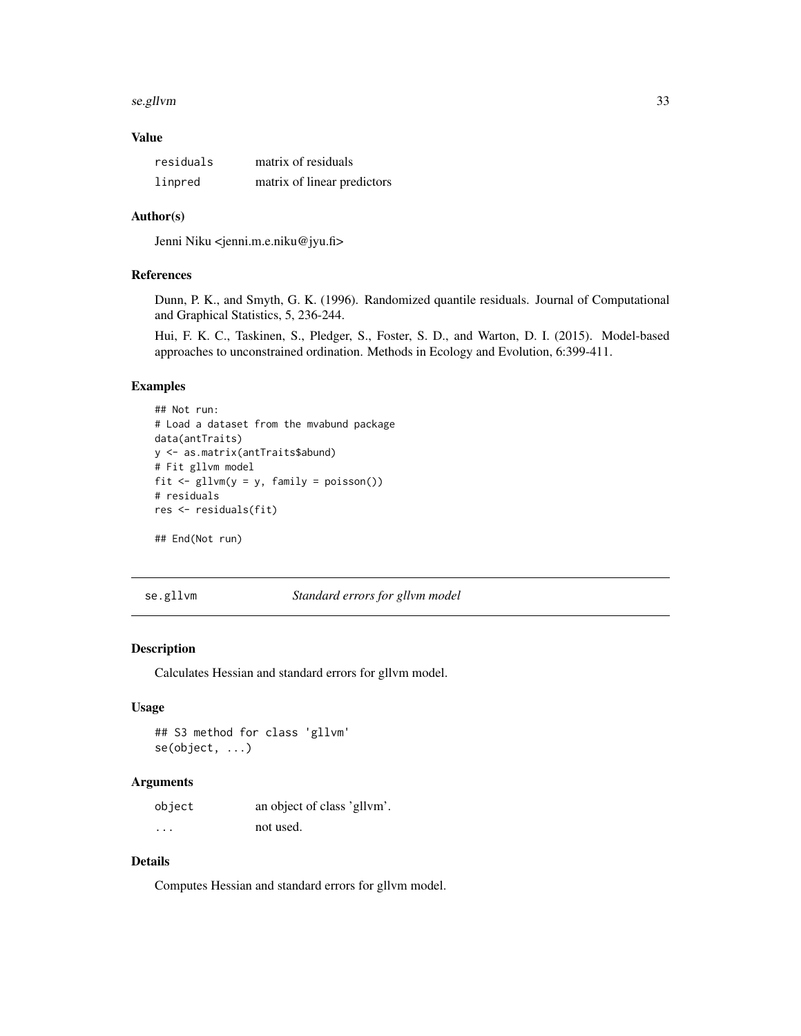#### <span id="page-32-0"></span>se.gllvm 33

#### Value

| residuals | matrix of residuals         |
|-----------|-----------------------------|
| linpred   | matrix of linear predictors |

#### Author(s)

Jenni Niku <jenni.m.e.niku@jyu.fi>

#### References

Dunn, P. K., and Smyth, G. K. (1996). Randomized quantile residuals. Journal of Computational and Graphical Statistics, 5, 236-244.

Hui, F. K. C., Taskinen, S., Pledger, S., Foster, S. D., and Warton, D. I. (2015). Model-based approaches to unconstrained ordination. Methods in Ecology and Evolution, 6:399-411.

#### Examples

```
## Not run:
# Load a dataset from the mvabund package
data(antTraits)
y <- as.matrix(antTraits$abund)
# Fit gllvm model
fit <- gllvm(y = y, family = poisson())
# residuals
res <- residuals(fit)
## End(Not run)
```
se.gllvm *Standard errors for gllvm model*

#### Description

Calculates Hessian and standard errors for gllvm model.

#### Usage

## S3 method for class 'gllvm' se(object, ...)

#### Arguments

| object   | an object of class 'gllym'. |
|----------|-----------------------------|
| $\cdots$ | not used.                   |

# Details

Computes Hessian and standard errors for gllvm model.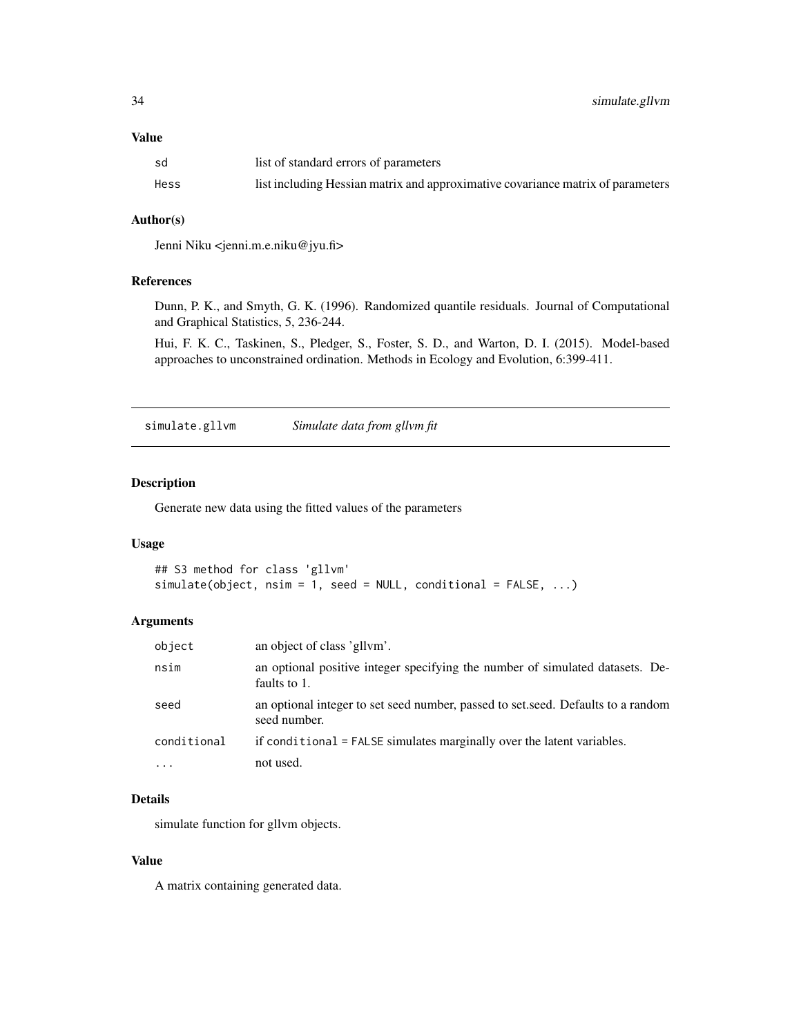#### <span id="page-33-0"></span>Value

| sd   | list of standard errors of parameters                                           |
|------|---------------------------------------------------------------------------------|
| Hess | list including Hessian matrix and approximative covariance matrix of parameters |

#### Author(s)

Jenni Niku <jenni.m.e.niku@jyu.fi>

# References

Dunn, P. K., and Smyth, G. K. (1996). Randomized quantile residuals. Journal of Computational and Graphical Statistics, 5, 236-244.

Hui, F. K. C., Taskinen, S., Pledger, S., Foster, S. D., and Warton, D. I. (2015). Model-based approaches to unconstrained ordination. Methods in Ecology and Evolution, 6:399-411.

simulate.gllvm *Simulate data from gllvm fit*

# Description

Generate new data using the fitted values of the parameters

#### Usage

```
## S3 method for class 'gllvm'
simulate(object, nsim = 1, seed = NULL, conditional = FALSE, ...)
```
#### Arguments

| object      | an object of class 'gllym'.                                                                      |
|-------------|--------------------------------------------------------------------------------------------------|
| nsim        | an optional positive integer specifying the number of simulated datasets. De-<br>faults to 1.    |
| seed        | an optional integer to set seed number, passed to set seed. Defaults to a random<br>seed number. |
| conditional | if conditional = FALSE simulates marginally over the latent variables.                           |
| $\ddotsc$   | not used.                                                                                        |

# Details

simulate function for gllvm objects.

# Value

A matrix containing generated data.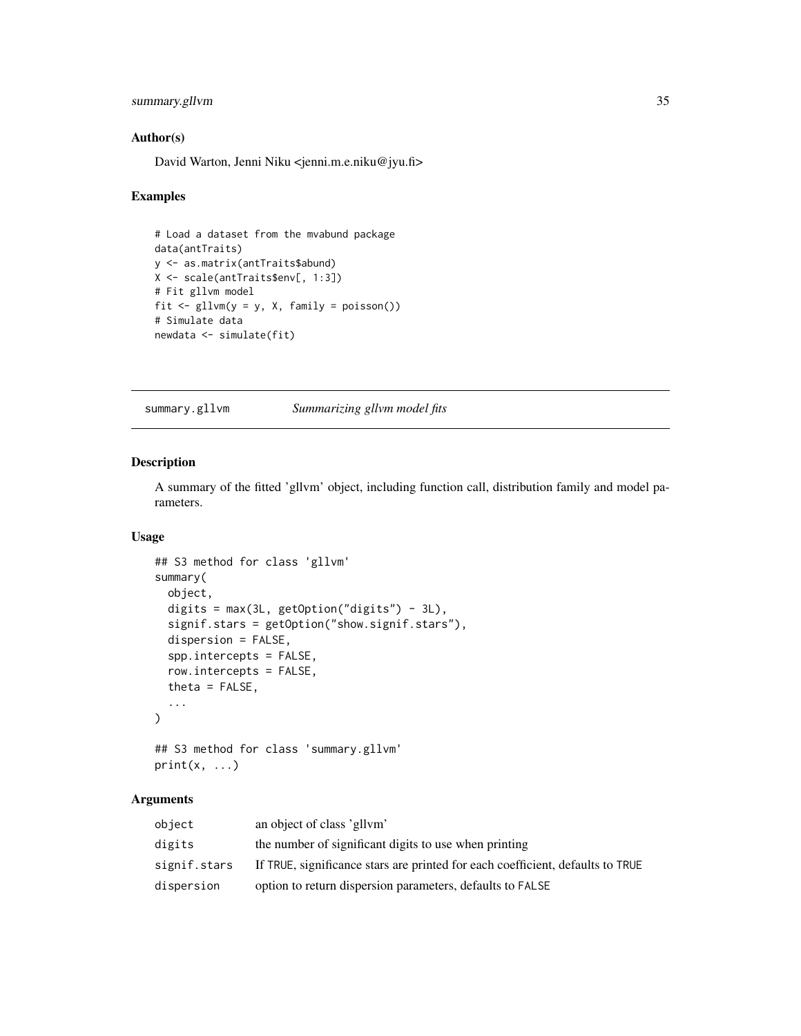# <span id="page-34-0"></span>summary.gllvm 35

#### Author(s)

David Warton, Jenni Niku <jenni.m.e.niku@jyu.fi>

#### Examples

```
# Load a dataset from the mvabund package
data(antTraits)
y <- as.matrix(antTraits$abund)
X <- scale(antTraits$env[, 1:3])
# Fit gllvm model
fit \le gllvm(y = y, X, family = poisson())
# Simulate data
newdata <- simulate(fit)
```
<span id="page-34-1"></span>summary.gllvm *Summarizing gllvm model fits*

#### Description

A summary of the fitted 'gllvm' object, including function call, distribution family and model parameters.

# Usage

```
## S3 method for class 'gllvm'
summary(
 object,
 digits = max(3L, getOption("digits") - 3L),
  signif.stars = getOption("show.signif.stars"),
 dispersion = FALSE,
  spp.intercepts = FALSE,
  row.intercepts = FALSE,
  theta = FALSE,...
)
## S3 method for class 'summary.gllvm'
```

```
print(x, \ldots)
```
# Arguments

| object       | an object of class 'gllym'                                                     |
|--------------|--------------------------------------------------------------------------------|
| digits       | the number of significant digits to use when printing                          |
| signif.stars | If TRUE, significance stars are printed for each coefficient, defaults to TRUE |
| dispersion   | option to return dispersion parameters, defaults to FALSE                      |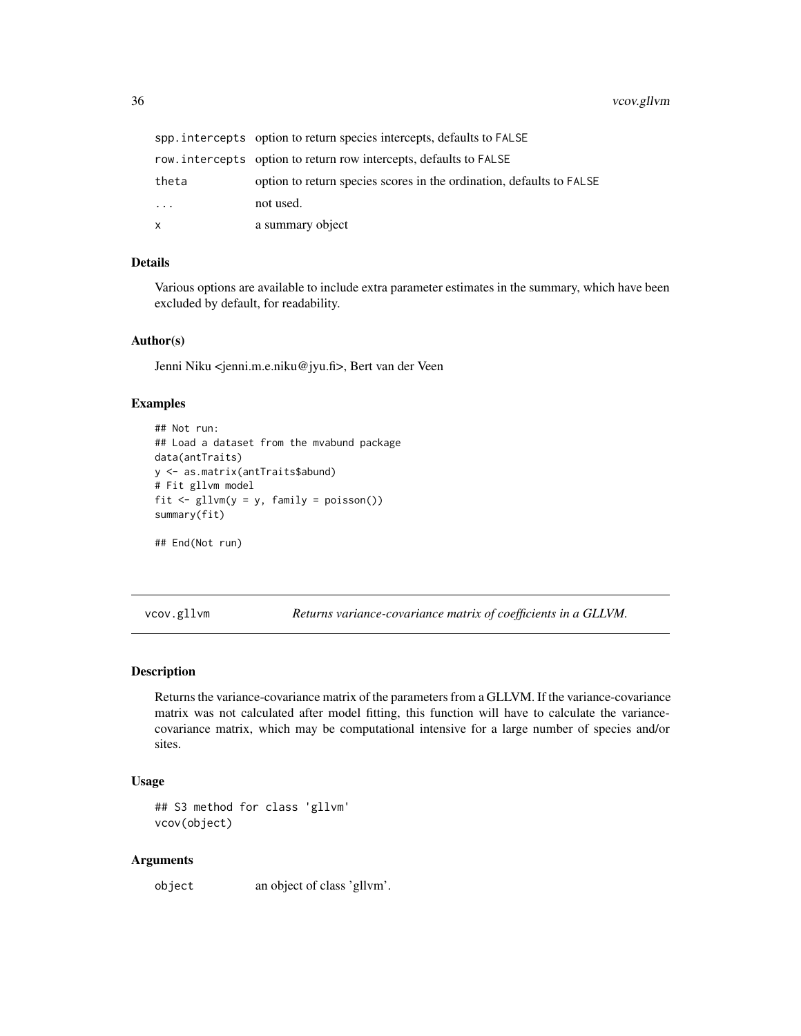<span id="page-35-0"></span>

|          | spp. intercepts option to return species intercepts, defaults to FALSE |
|----------|------------------------------------------------------------------------|
|          | row. intercepts option to return row intercepts, defaults to FALSE     |
| theta    | option to return species scores in the ordination, defaults to FALSE   |
| $\ddots$ | not used.                                                              |
| x        | a summary object                                                       |

#### Details

Various options are available to include extra parameter estimates in the summary, which have been excluded by default, for readability.

#### Author(s)

Jenni Niku <jenni.m.e.niku@jyu.fi>, Bert van der Veen

# Examples

```
## Not run:
## Load a dataset from the mvabund package
data(antTraits)
y <- as.matrix(antTraits$abund)
# Fit gllvm model
fit \le gllvm(y = y, family = poisson())
summary(fit)
## End(Not run)
```
vcov.gllvm *Returns variance-covariance matrix of coefficients in a GLLVM.*

## Description

Returns the variance-covariance matrix of the parameters from a GLLVM. If the variance-covariance matrix was not calculated after model fitting, this function will have to calculate the variancecovariance matrix, which may be computational intensive for a large number of species and/or sites.

#### Usage

```
## S3 method for class 'gllvm'
vcov(object)
```
#### Arguments

object an object of class 'gllvm'.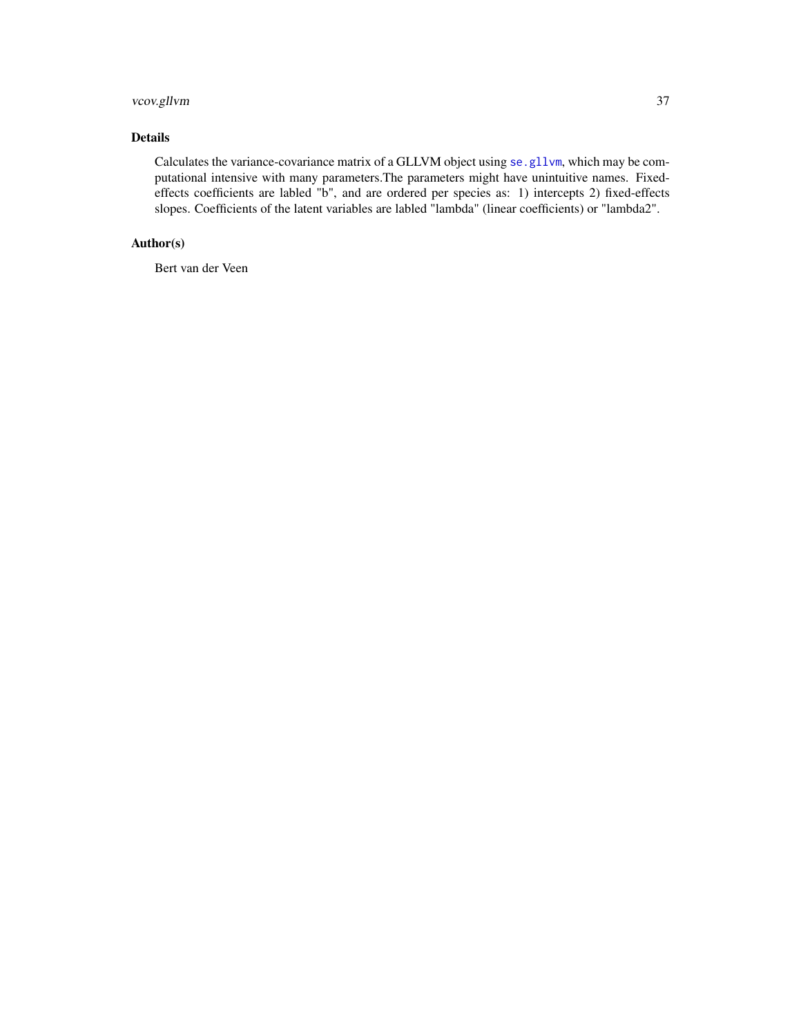# <span id="page-36-0"></span>vcov.gllvm 37

# Details

Calculates the variance-covariance matrix of a GLLVM object using [se.gllvm](#page-32-1), which may be computational intensive with many parameters.The parameters might have unintuitive names. Fixedeffects coefficients are labled "b", and are ordered per species as: 1) intercepts 2) fixed-effects slopes. Coefficients of the latent variables are labled "lambda" (linear coefficients) or "lambda2".

# Author(s)

Bert van der Veen